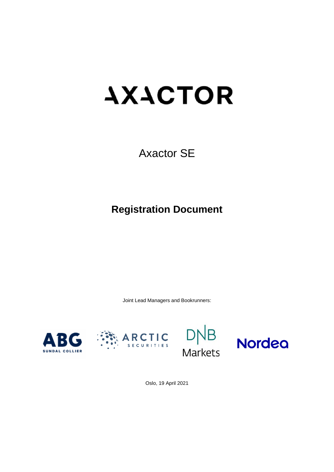# **AXACTOR**

Axactor SE

# **Registration Document**

Joint Lead Managers and Bookrunners:









Oslo, 19 April 2021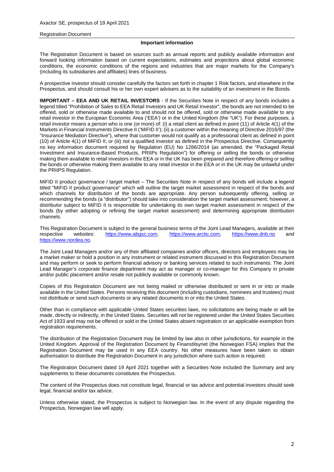#### **Important information**

The Registration Document is based on sources such as annual reports and publicly available information and forward looking information based on current expectations, estimates and projections about global economic conditions, the economic conditions of the regions and industries that are major markets for the Company's (including its subsidiaries and affiliates) lines of business.

A prospective investor should consider carefully the factors set forth in chapter 1 Risk factors, and elsewhere in the Prospectus, and should consult his or her own expert advisers as to the suitability of an investment in the Bonds.

**IMPORTANT – EEA AND UK RETAIL INVESTORS** - If the Securities Note in respect of any bonds includes a legend titled "Prohibition of Sales to EEA Retail Investors and UK Retail Investor", the bonds are not intended to be offered, sold or otherwise made available to and should not be offered, sold or otherwise made available to any retail investor in the European Economic Area ('EEA') or in the United Kingdom (the "UK"). For these purposes, a retail investor means a person who is one (or more) of: (i) a retail client as defined in point (11) of Article 4(1) of the Markets in Financial Instruments Directive II ('MiFID II'); (ii) a customer within the meaning of Directive 2016/97 (the "Insurance Mediation Directive"), where that customer would not qualify as a professional client as defined in point (10) of Article 4(1) of MiFID II; or (iii) not a qualified investor as defined in the Prospectus Directive. Consequently no key information document required by Regulation (EU) No 1286/2014 (as amended, the "Packaged Retail Investment and Insurance-Based Products, PRIIPs Regulation") for offering or selling the bonds or otherwise making them available to retail investors in the EEA or in the UK has been prepared and therefore offering or selling the bonds or otherwise making them available to any retail investor in the EEA or in the UK may be unlawful under the PRIIPS Regulation.

MiFID II product governance / target market – The Securities Note in respect of any bonds will include a legend titled "MiFID II product governance" which will outline the target market assessment in respect of the bonds and which channels for distribution of the bonds are appropriate. Any person subsequently offering, selling or recommending the bonds (a "distributor") should take into consideration the target market assessment; however, a distributor subject to MiFID II is responsible for undertaking its own target market assessment in respect of the bonds (by either adopting or refining the target market assessment) and determining appropriate distribution channels.

This Registration Document is subject to the general business terms of the Joint Lead Managers, available at their respective websites: [https://www.abgsc.com](https://www.abgsc.com/), [https://www.arctic.com](https://www.arctic.com/), [https://www.dnb.no](https://www.dnb.no/) and [https://www.nordea.no.](https://www.nordea.no/)

The Joint Lead Managers and/or any of their affiliated companies and/or officers, directors and employees may be a market maker or hold a position in any instrument or related instrument discussed in this Registration Document and may perform or seek to perform financial advisory or banking services related to such instruments. The Joint Lead Manager's corporate finance department may act as manager or co-manager for this Company in private and/or public placement and/or resale not publicly available or commonly known.

Copies of this Registration Document are not being mailed or otherwise distributed or sent in or into or made available in the United States. Persons receiving this document (including custodians, nominees and trustees) must not distribute or send such documents or any related documents in or into the United States.

Other than in compliance with applicable United States securities laws, no solicitations are being made or will be made, directly or indirectly, in the United States. Securities will not be registered under the United States Securities Act of 1933 and may not be offered or sold in the United States absent registration or an applicable exemption from registration requirements.

The distribution of the Registration Document may be limited by law also in other jurisdictions, for example in the United Kingdom. Approval of the Registration Document by Finanstilsynet (the Norwegian FSA) implies that the Registration Document may be used in any EEA country. No other measures have been taken to obtain authorisation to distribute the Registration Document in any jurisdiction where such action is required.

The Registration Document dated 19 April 2021 together with a Securities Note included the Summary and any supplements to these documents constitutes the Prospectus.

The content of the Prospectus does not constitute legal, financial or tax advice and potential investors should seek legal, financial and/or tax advice.

Unless otherwise stated, the Prospectus is subject to Norwegian law. In the event of any dispute regarding the Prospectus, Norwegian law will apply.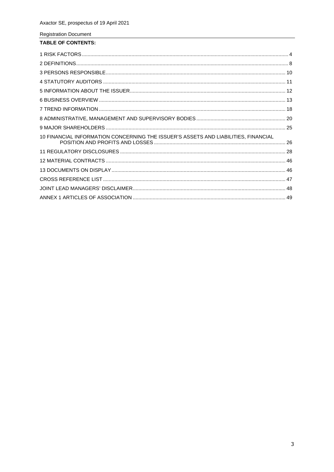| <b>Registration Document</b>                                                       |  |
|------------------------------------------------------------------------------------|--|
| <b>TABLE OF CONTENTS:</b>                                                          |  |
|                                                                                    |  |
|                                                                                    |  |
|                                                                                    |  |
|                                                                                    |  |
|                                                                                    |  |
|                                                                                    |  |
|                                                                                    |  |
|                                                                                    |  |
|                                                                                    |  |
| 10 FINANCIAL INFORMATION CONCERNING THE ISSUER'S ASSETS AND LIABILITIES, FINANCIAL |  |
|                                                                                    |  |
|                                                                                    |  |
|                                                                                    |  |
|                                                                                    |  |
|                                                                                    |  |
|                                                                                    |  |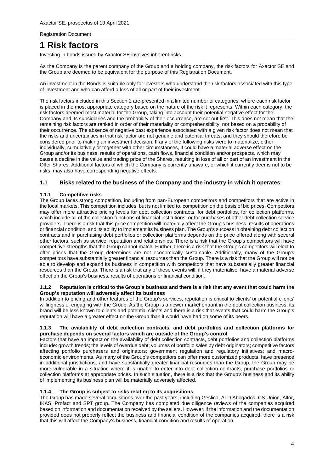### <span id="page-3-0"></span>**1 Risk factors**

Investing in bonds issued by Axactor SE involves inherent risks.

As the Company is the parent company of the Group and a holding company, the risk factors for Axactor SE and the Group are deemed to be equivalent for the purpose of this Registration Document.

An investment in the Bonds is suitable only for investors who understand the risk factors associated with this type of investment and who can afford a loss of all or part of their investment.

The risk factors included in this Section 1 are presented in a limited number of categories, where each risk factor is placed in the most appropriate category based on the nature of the risk it represents. Within each category, the risk factors deemed most material for the Group, taking into account their potential negative effect for the Company and its subsidiaries and the probability of their occurrence, are set out first. This does not mean that the remaining risk factors are ranked in order of their materiality or comprehensibility, nor based on a probability of their occurrence. The absence of negative past experience associated with a given risk factor does not mean that the risks and uncertainties in that risk factor are not genuine and potential threats, and they should therefore be considered prior to making an investment decision. If any of the following risks were to materialize, either individually, cumulatively or together with other circumstances, it could have a material adverse effect on the Group and/or its business, results of operations, cash flows, financial condition and/or prospects, which may cause a decline in the value and trading price of the Shares, resulting in loss of all or part of an investment in the Offer Shares. Additional factors of which the Company is currently unaware, or which it currently deems not to be risks, may also have corresponding negative effects.

#### **1.1 Risks related to the business of the Company and the industry in which it operates**

#### **1.1.1 Competitive risks**

The Group faces strong competition, including from pan-European competitors and competitors that are active in the local markets. This competition includes, but is not limited to, competition on the basis of bid prices. Competitors may offer more attractive pricing levels for debt collection contracts, for debt portfolios, for collection platforms, which include all of the collection functions of financial institutions, or for purchases of other debt collection service providers. There is a risk that this price competition will materially affect the Group's business, results of operations or financial condition, and its ability to implement its business plan. The Group's success in obtaining debt collection contracts and in purchasing debt portfolios or collection platforms depends on the price offered along with several other factors, such as service, reputation and relationships. There is a risk that the Group's competitors will have competitive strengths that the Group cannot match. Further, there is a risk that the Group's competitors will elect to offer prices that the Group determines are not economically sustainable. Additionally, many of the Group's competitors have substantially greater financial resources than the Group. There is a risk that the Group will not be able to develop and expand its business in competition with competitors that have substantially greater financial resources than the Group. There is a risk that any of these events will, if they materialise, have a material adverse effect on the Group's business, results of operations or financial condition.

#### **1.1.2 Reputation is critical to the Group's business and there is a risk that any event that could harm the Group's reputation will adversely affect its business**

In addition to pricing and other features of the Group's services, reputation is critical to clients' or potential clients' willingness of engaging with the Group. As the Group is a newer market entrant in the debt collection business, its brand will be less known to clients and potential clients and there is a risk that events that could harm the Group's reputation will have a greater effect on the Group than it would have had on some of its peers.

#### **1.1.3 The availability of debt collection contracts, and debt portfolios and collection platforms for purchase depends on several factors which are outside of the Group's control**

Factors that have an impact on the availability of debt collection contracts, debt portfolios and collection platforms include: growth trends; the levels of overdue debt; volumes of portfolio sales by debt originators; competitive factors affecting portfolio purchasers and originators; government regulation and regulatory initiatives; and macroeconomic environments. As many of the Group's competitors can offer more customized products, have presence in additional jurisdictions, and have substantially greater financial resources than the Group, the Group may be more vulnerable in a situation where it is unable to enter into debt collection contracts, purchase portfolios or collection platforms at appropriate prices. In such situation, there is a risk that the Group's business and its ability of implementing its business plan will be materially adversely affected.

#### **1.1.4 The Group is subject to risks relating to its acquisitions**

The Group has made several acquisitions over the past years, including Geslico, ALD Abogados, CS Union, Altor, IKAS, Profact and SPT group. The Company has completed due diligence reviews of the companies acquired based on information and documentation received by the sellers. However, if the information and the documentation provided does not properly reflect the business and financial condition of the companies acquired, there is a risk that this will affect the Company's business, financial condition and results of operation.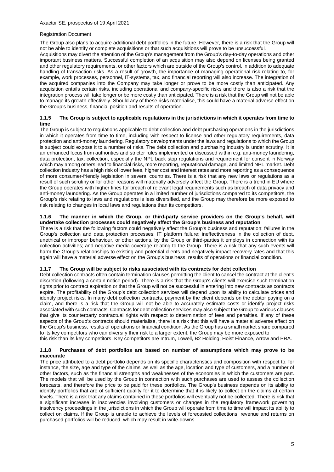The Group also plans to acquire additional debt portfolios in the future. However, there is a risk that the Group will not be able to identify or complete acquisitions or that such acquisitions will prove to be unsuccessful.

Acquisitions may divert the attention of the Group's management from the Group's day-to-day operations and other important business matters. Successful completion of an acquisition may also depend on licenses being granted and other regulatory requirements, or other factors which are outside of the Group's control, in addition to adequate handling of transaction risks. As a result of growth, the importance of managing operational risk relating to, for example, work processes, personnel, IT-systems, tax, and financial reporting will also increase. The integration of the acquired companies into the Company may take longer or prove to be more costly than anticipated. Any acquisition entails certain risks, including operational and company-specific risks and there is also a risk that the integration process will take longer or be more costly than anticipated. There is a risk that the Group will not be able to manage its growth effectively. Should any of these risks materialise, this could have a material adverse effect on the Group's business, financial position and results of operation.

#### **1.1.5 The Group is subject to applicable regulations in the jurisdictions in which it operates from time to time**

The Group is subject to regulations applicable to debt collection and debt purchasing operations in the jurisdictions in which it operates from time to time, including with respect to license and other regulatory requirements, data protection and anti-money laundering. Regulatory developments under the laws and regulations to which the Group is subject could expose it to a number of risks. The debt collection and purchasing industry is under scrutiny. It is an enhanced focus from authorities and stricter rules implemented or discussed within e.g. anti-money laundering, data protection, tax, collection, especially the NPL back stop regulations and requirement for consent in Norway which may among others lead to financial risks, more reporting, reputational damage, and limited NPL market. Debt collection industry has a high risk of lower fees, higher cost and interest rates and more reporting as a consequence of more consumer-friendly legislation in several countries. There is a risk that any new laws or regulations as a result of such scrutiny or for other reasons will materially adversely affect the Group. There is a trend in EU where the Group operates with higher fines for breach of relevant legal requirements such as breach of data privacy and anti-money laundering. As the Group operates in a limited number of jurisdictions compared to its competitors, the Group's risk relating to laws and regulations is less diversified, and the Group may therefore be more exposed to risk relating to changes in local laws and regulations than its competitors.

#### **1.1.6 The manner in which the Group, or third-party service providers on the Group's behalf, will undertake collection processes could negatively affect the Group's business and reputation**

There is a risk that the following factors could negatively affect the Group's business and reputation: failures in the Group's collection and data protection processes; IT platform failure; ineffectiveness in the collection of debt, unethical or improper behaviour, or other actions, by the Group or third-parties it employs in connection with its collection activities; and negative media coverage relating to the Group. There is a risk that any such events will harm the Group's relationships to existing and potential clients and negatively impact recovery rates and that this again will have a material adverse effect on the Group's business, results of operations or financial condition.

#### **1.1.7 The Group will be subject to risks associated with its contracts for debt collection**

Debt collection contracts often contain termination clauses permitting the client to cancel the contract at the client's discretion (following a certain notice period). There is a risk that the Group's clients will exercise such termination rights prior to contract expiration or that the Group will not be successful in entering into new contracts as contracts expire. The profitability of the Group's debt collection services will depend upon its ability to calculate prices and identify project risks. In many debt collection contracts, payment by the client depends on the debtor paying on a claim, and there is a risk that the Group will not be able to accurately estimate costs or identify project risks associated with such contracts. Contracts for debt collection services may also subject the Group to various clauses that give its counterparty contractual rights with respect to determination of fees and penalties. If any of these aspects of the Group's contracts should materialise, there is a risk that this will have a material adverse effect on the Group's business, results of operations or financial condition. As the Group has a small market share compared to its key competitors who can diversify their risk to a larger extent, the Group may be more exposed to this risk than its key competitors. Key competitors are Intrum, Lowell, B2 Holding, Hoist Finance, Arrow and PRA.

#### **1.1.8 Purchases of debt portfolios are based on number of assumptions which may prove to be inaccurate**

The price attributed to a debt portfolio depends on its specific characteristics and composition with respect to, for instance, the size, age and type of the claims, as well as the age, location and type of customers, and a number of other factors, such as the financial strengths and weaknesses of the economies in which the customers are part. The models that will be used by the Group in connection with such purchases are used to assess the collection forecasts, and therefore the price to be paid for these portfolios. The Group's business depends on its ability to identify portfolios that are of sufficient quality for it to determine that it is likely to collect on the claims at certain levels. There is a risk that any claims contained in these portfolios will eventually not be collected. There is risk that a significant increase in insolvencies involving customers or changes in the regulatory framework governing insolvency proceedings in the jurisdictions in which the Group will operate from time to time will impact its ability to collect on claims. If the Group is unable to achieve the levels of forecasted collections, revenue and returns on purchased portfolios will be reduced, which may result in write-downs.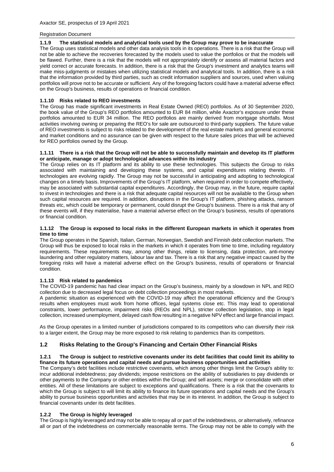#### **1.1.9 The statistical models and analytical tools used by the Group may prove to be inaccurate**

The Group uses statistical models and other data analysis tools in its operations. There is a risk that the Group will not be able to achieve the recoveries forecasted by the models used to value the portfolios or that the models will be flawed. Further, there is a risk that the models will not appropriately identify or assess all material factors and yield correct or accurate forecasts. In addition, there is a risk that the Group's investment and analytics teams will make miss-judgments or mistakes when utilizing statistical models and analytical tools. In addition, there is a risk that the information provided by third parties, such as credit information suppliers and sources, used when valuing portfolios will prove not to be accurate or sufficient. Any of the foregoing factors could have a material adverse effect on the Group's business, results of operations or financial condition.

#### **1.1.10 Risks related to REO investments**

The Group has made significant investments in Real Estate Owned (REO) portfolios. As of 30 September 2020, the book value of the Group's REO portfolios amounted to EUR 84 million, while Axactor's exposure under these portfolios amounted to EUR 34 million. The REO portfolios are mainly derived from mortgage shortfalls. Most activities involving owning or preparing the REO's for sale are outsourced to third-party suppliers. The future value of REO investments is subject to risks related to the development of the real estate markets and general economic and market conditions and no assurance can be given with respect to the future sales prices that will be achieved for REO portfolios owned by the Group.

#### **1.1.11 There is a risk that the Group will not be able to successfully maintain and develop its IT platform or anticipate, manage or adopt technological advances within its industry**

The Group relies on its IT platform and its ability to use these technologies. This subjects the Group to risks associated with maintaining and developing these systems, and capital expenditures relating thereto. IT technologies are evolving rapidly. The Group may not be successful in anticipating and adopting to technological changes on a timely basis. Improvements of the Group's IT platform, when required in order to compete effectively, may be associated with substantial capital expenditures. Accordingly, the Group may, in the future, require capital to invest in technologies and there is a risk that adequate capital resources will not be available to the Group when such capital resources are required. In addition, disruptions in the Group's IT platform, phishing attacks, ransom threats etc, which could be temporary or permanent, could disrupt the Group's business. There is a risk that any of these events will, if they materialise, have a material adverse effect on the Group's business, results of operations or financial condition.

#### **1.1.12 The Group is exposed to local risks in the different European markets in which it operates from time to time**

The Group operates in the Spanish, Italian, German, Norwegian, Swedish and Finnish debt collection markets. The Group will thus be exposed to local risks in the markets in which it operates from time to time, including regulatory requirements. These requirements may, among other things, relate to licensing, data protection, anti-money laundering and other regulatory matters, labour law and tax. There is a risk that any negative impact caused by the foregoing risks will have a material adverse effect on the Group's business, results of operations or financial condition.

#### **1.1.13 Risk related to pandemics**

The COVID-19 pandemic has had clear impact on the Group's business, mainly by a slowdown in NPL and REO collection due to decreased legal focus on debt collection proceedings in most markets.

A pandemic situation as experienced with the COVID-19 may affect the operational efficiency and the Group's results when employees must work from home offices, legal systems close etc. This may lead to operational constraints, lower performance, impairment risks (REOs and NPL), stricter collection legislation, stop in legal collection, increased unemployment, delayed cash flow resulting in a negative NPV effect and large financial impact.

As the Group operates in a limited number of jurisdictions compared to its competitors who can diversify their risk to a larger extent, the Group may be more exposed to risk relating to pandemics than its competitors.

#### **1.2 Risks Relating to the Group's Financing and Certain Other Financial Risks**

#### **1.2.1 The Group is subject to restrictive covenants under its debt facilities that could limit its ability to finance its future operations and capital needs and pursue business opportunities and activities**

The Company's debt facilities include restrictive covenants, which among other things limit the Group's ability to: incur additional indebtedness; pay dividends; impose restrictions on the ability of subsidiaries to pay dividends or other payments to the Company or other entities within the Group; and sell assets; merge or consolidate with other entities. All of these limitations are subject to exceptions and qualifications. There is a risk that the covenants to which the Group is subject to will limit its ability to finance its future operations and capital needs and the Group's ability to pursue business opportunities and activities that may be in its interest. In addition, the Group is subject to financial covenants under its debt facilities.

#### **1.2.2 The Group is highly leveraged**

The Group is highly leveraged and may not be able to repay all or part of the indebtedness, or alternatively, refinance all or part of the indebtedness on commercially reasonable terms. The Group may not be able to comply with the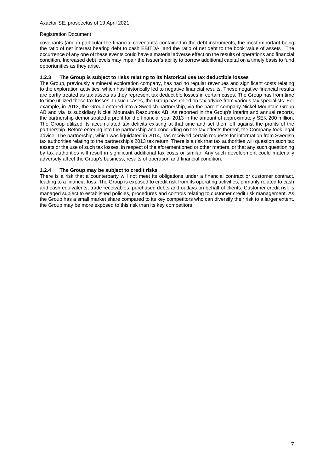covenants (and in particular the financial covenants) contained in the debt instruments, the most important being the ratio of net interest bearing debt to cash EBITDA and the ratio of net debt to the book value of assets . The occurrence of any one of these events could have a material adverse effect on the results of operations and financial condition. Increased debt levels may impair the Issuer's ability to borrow additional capital on a timely basis to fund opportunities as they arise.

#### **1.2.3 The Group is subject to risks relating to its historical use tax deductible losses**

The Group, previously a mineral exploration company, has had no regular revenues and significant costs relating to the exploration activities, which has historically led to negative financial results. These negative financial results are partly treated as tax assets as they represent tax deductible losses in certain cases. The Group has from time to time utilized these tax losses. In such cases, the Group has relied on tax advice from various tax specialists. For example, in 2013, the Group entered into a Swedish partnership, via the parent company Nickel Mountain Group AB and via its subsidiary Nickel Mountain Resources AB. As reported in the Group's interim and annual reports, the partnership demonstrated a profit for the financial year 2013 in the amount of approximately SEK 200 million. The Group utilized its accumulated tax deficits existing at that time and set them off against the profits of the partnership. Before entering into the partnership and concluding on the tax effects thereof, the Company took legal advice. The partnership, which was liquidated in 2014, has received certain requests for information from Swedish tax authorities relating to the partnership's 2013 tax return. There is a risk that tax authorities will question such tax assets or the use of such tax losses, in respect of the aforementioned or other matters, or that any such questioning by tax authorities will result in significant additional tax costs or similar. Any such development could materially adversely affect the Group's business, results of operation and financial condition.

#### **1.2.4 The Group may be subject to credit risks**

There is a risk that a counterparty will not meet its obligations under a financial contract or customer contract, leading to a financial loss. The Group is exposed to credit risk from its operating activities, primarily related to cash and cash equivalents, trade receivables, purchased debts and outlays on behalf of clients. Customer credit risk is managed subject to established policies, procedures and controls relating to customer credit risk management. As the Group has a small market share compared to its key competitors who can diversify their risk to a larger extent, the Group may be more exposed to this risk than its key competitors.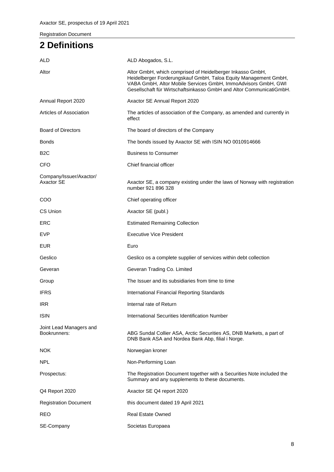### <span id="page-7-0"></span>**2 Definitions**

| <b>ALD</b>                              | ALD Abogados, S.L.                                                                                                                                                                                                                                                   |
|-----------------------------------------|----------------------------------------------------------------------------------------------------------------------------------------------------------------------------------------------------------------------------------------------------------------------|
| Altor                                   | Altor GmbH, which comprised of Heidelberger Inkasso GmbH,<br>Heidelberger Forderungskauf GmbH, Taloa Equity Management GmbH,<br>VABA GmbH, Altor Mobile Services GmbH, ImmoAdvisors GmbH, GWI<br>Gesellschaft für Wirtschaftsinkasso GmbH and Altor CommunicatiGmbH. |
| Annual Report 2020                      | Axactor SE Annual Report 2020                                                                                                                                                                                                                                        |
| Articles of Association                 | The articles of association of the Company, as amended and currently in<br>effect                                                                                                                                                                                    |
| <b>Board of Directors</b>               | The board of directors of the Company                                                                                                                                                                                                                                |
| <b>Bonds</b>                            | The bonds issued by Axactor SE with ISIN NO 0010914666                                                                                                                                                                                                               |
| B <sub>2</sub> C                        | <b>Business to Consumer</b>                                                                                                                                                                                                                                          |
| <b>CFO</b>                              | Chief financial officer                                                                                                                                                                                                                                              |
| Company/Issuer/Axactor/<br>Axactor SE   | Axactor SE, a company existing under the laws of Norway with registration<br>number 921 896 328                                                                                                                                                                      |
| COO                                     | Chief operating officer                                                                                                                                                                                                                                              |
| CS Union                                | Axactor SE (publ.)                                                                                                                                                                                                                                                   |
| ERC                                     | <b>Estimated Remaining Collection</b>                                                                                                                                                                                                                                |
| <b>EVP</b>                              | <b>Executive Vice President</b>                                                                                                                                                                                                                                      |
| <b>EUR</b>                              | Euro                                                                                                                                                                                                                                                                 |
| Geslico                                 | Geslico os a complete supplier of services within debt collection                                                                                                                                                                                                    |
| Geveran                                 | Geveran Trading Co. Limited                                                                                                                                                                                                                                          |
| Group                                   | The Issuer and its subsidiaries from time to time                                                                                                                                                                                                                    |
| <b>IFRS</b>                             | International Financial Reporting Standards                                                                                                                                                                                                                          |
| IRR                                     | Internal rate of Return                                                                                                                                                                                                                                              |
| <b>ISIN</b>                             | International Securities Identification Number                                                                                                                                                                                                                       |
| Joint Lead Managers and<br>Bookrunners: | ABG Sundal Collier ASA, Arctic Securities AS, DNB Markets, a part of<br>DNB Bank ASA and Nordea Bank Abp, filial i Norge.                                                                                                                                            |
| <b>NOK</b>                              | Norwegian kroner                                                                                                                                                                                                                                                     |
| NPL                                     | Non-Performing Loan                                                                                                                                                                                                                                                  |
| Prospectus:                             | The Registration Document together with a Securities Note included the<br>Summary and any supplements to these documents.                                                                                                                                            |
| Q4 Report 2020                          | Axactor SE Q4 report 2020                                                                                                                                                                                                                                            |
| <b>Registration Document</b>            | this document dated 19 April 2021                                                                                                                                                                                                                                    |
| REO                                     | Real Estate Owned                                                                                                                                                                                                                                                    |
| SE-Company                              | Societas Europaea                                                                                                                                                                                                                                                    |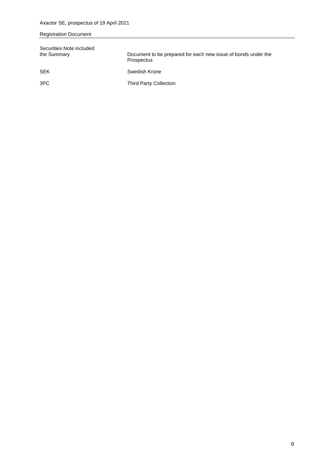| <b>Registration Document</b>            |                                                                             |
|-----------------------------------------|-----------------------------------------------------------------------------|
| Securities Note included<br>the Summary | Document to be prepared for each new issue of bonds under the<br>Prospectus |
| <b>SEK</b>                              | Swedish Krone                                                               |
| 3PC                                     | <b>Third Party Collection</b>                                               |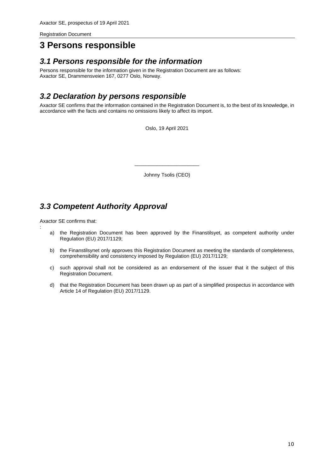### <span id="page-9-0"></span>**3 Persons responsible**

### *3.1 Persons responsible for the information*

Persons responsible for the information given in the Registration Document are as follows: Axactor SE, Drammensveien 167, 0277 Oslo, Norway.

### *3.2 Declaration by persons responsible*

Axactor SE confirms that the information contained in the Registration Document is, to the best of its knowledge, in accordance with the facts and contains no omissions likely to affect its import.

Oslo, 19 April 2021

\_\_\_\_\_\_\_\_\_\_\_\_\_\_\_\_\_\_\_\_\_\_\_ Johnny Tsolis (CEO)

### *3.3 Competent Authority Approval*

Axactor SE confirms that:

:

- a) the Registration Document has been approved by the Finanstilsyet, as competent authority under Regulation (EU) 2017/1129;
- b) the Finanstilsynet only approves this Registration Document as meeting the standards of completeness, comprehensibility and consistency imposed by Regulation (EU) 2017/1129;
- c) such approval shall not be considered as an endorsement of the issuer that it the subject of this Registration Document.
- d) that the Registration Document has been drawn up as part of a simplified prospectus in accordance with Article 14 of Regulation (EU) 2017/1129.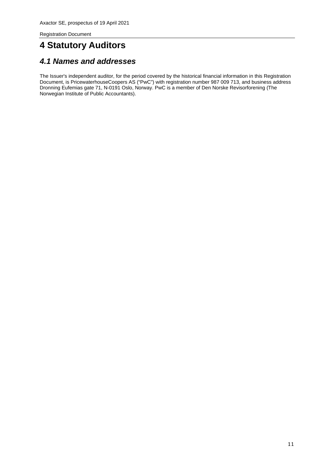### <span id="page-10-0"></span>**4 Statutory Auditors**

### *4.1 Names and addresses*

The Issuer's independent auditor, for the period covered by the historical financial information in this Registration Document, is PricewaterhouseCoopers AS ("PwC") with registration number 987 009 713, and business address Dronning Eufemias gate 71, N-0191 Oslo, Norway. PwC is a member of Den Norske Revisorforening (The Norwegian Institute of Public Accountants).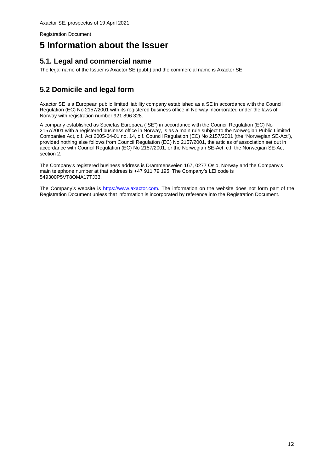### <span id="page-11-0"></span>**5 Information about the Issuer**

### **5.1. Legal and commercial name**

The legal name of the Issuer is Axactor SE (publ.) and the commercial name is Axactor SE.

### **5.2 Domicile and legal form**

Axactor SE is a European public limited liability company established as a SE in accordance with the Council Regulation (EC) No 2157/2001 with its registered business office in Norway incorporated under the laws of Norway with registration number 921 896 328.

A company established as Societas Europaea ("SE") in accordance with the Council Regulation (EC) No 2157/2001 with a registered business office in Norway, is as a main rule subject to the Norwegian Public Limited Companies Act, c.f. Act 2005-04-01 no. 14, c.f. Council Regulation (EC) No 2157/2001 (the "Norwegian SE-Act"), provided nothing else follows from Council Regulation (EC) No 2157/2001, the articles of association set out in accordance with Council Regulation (EC) No 2157/2001, or the Norwegian SE-Act, c.f. the Norwegian SE-Act section 2.

The Company's registered business address is Drammensveien 167, 0277 Oslo, Norway and the Company's main telephone number at that address is +47 911 79 195. The Company's LEI code is 549300P5VT8OMA17TJ33.

The Company's website is [https://www.axactor.com.](https://www.axactor.com/) The information on the website does not form part of the Registration Document unless that information is incorporated by reference into the Registration Document.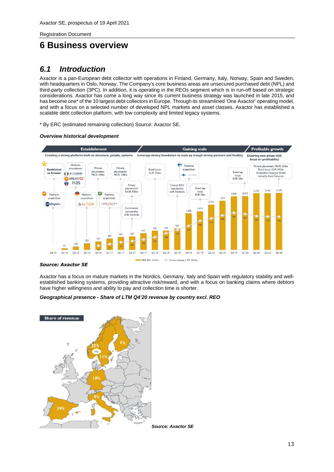### <span id="page-12-0"></span>**6 Business overview**

### *6.1 Introduction*

Axactor is a pan-European debt collector with operations in Finland, Germany, Italy, Norway, Spain and Sweden, with headquarters in Oslo, Norway. The Company's core business areas are unsecured purchased debt (NPL) and third-party collection (3PC). In addition, it is operating in the REOs segment which is in run-off based on strategic considerations. Axactor has come a long way since its current business strategy was launched in late 2015, and has become one<sup>\*</sup> of the 10 largest debt collectors in Europe. Through its streamlined 'One Axactor' operating model, and with a focus on a selected number of developed NPL markets and asset classes, Axactor has established a scalable debt collection platform, with low complexity and limited legacy systems.

\* By ERC (estimated remaining collection) Source: Axactor SE.

#### Establishment Profitable growth **Gaining scale** Creating a strong platform built on structure, people, systems Leverage strong foundation to scale up trough strong partners and funding Entering new phase with<br>focus on profitability Platform<br>acquisitions Platform Private placement: NOK 320m Private Private Established Bond issue acquisition Bond issue: EUR 200m Bond tap placements:<br>NOK 108m Bond issue, LOR 20011<br>Acquisition Axactor Invest<br>minority from Geveran as Axacto ELID 150m **O** & CSUNION placements<br>NOK 598n  $\bullet$ issue:<br>EUR 50m GESLICO C  $I<sub>K</sub>35$ 62 Private Closed RFO loan facility<br>with Nomur Bond tap  $2.153$ 2,160 2.169 NOK 598m 2.052 2,038 ⊕ EUR<sub>50m</sub> Platforn Platforn Platforn acquisition 1.877 acquis  $1,721$ **PROBOT alabogado GALTOR** Co-inves 1.473 partnership<br>with Geverar 82 633 507  $407$  $317$ 253  $12$  $Q4 - 15$  $Q1-16$  $Q2-16$  $O3-16$  $O4-16$  $Q1-17$  $Q2 - 17$  $O3-17$  $O4-17$  $Q1-18$  $O2 - 18$  $O3 - 18$  $O4 - 18$  $Q1-19$  $Q2 - 19$  $Q3-19$  $O4-19$  $Q1-20$  $O2 - 20$  $Q3 - 20$  $O4 - 20$ NPL ERC, EURm Gross revenue, LTM, EURm

#### *Overview historical development*

#### *Source: Axactor SE*

Axactor has a focus on mature markets in the Nordics, Germany, Italy and Spain with regulatory stability and wellestablished banking systems, providing attractive risk/reward, and with a focus on banking claims where debtors have higher willingness and ability to pay and collection time is shorter.

#### *Geographical presence - Share of LTM Q4'20 revenue by country excl. REO*

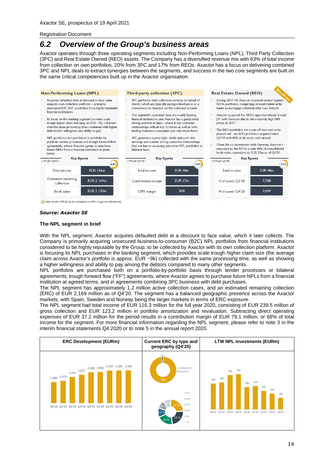### *6.2 Overview of the Group's business areas*

Axactor operates through three operating segments including Non-Performing Loans (NPL), Third Party Collection (3PC) and Real Estate Owned (REO) assets. The Company has a diversified revenue mix with 63% of total income from collection on own portfolios, 20% from 3PC and 17% from REOs. Axactor has a focus on delivering combined 3PC and NPL deals to extract synergies between the segments, and success in the two core segments are built on the same critical competencies built up in the Axactor organisation.



Share of sales LTM Q4 adj. for revaluations on NPLs (to get normalized level)

#### *Source: Axactor SE*

#### **The NPL segment in brief**

With the NPL segment, Axactor acquires defaulted debt at a discount to face value, which it later collects. The Company is primarily acquiring unsecured business-to-consumer (B2C) NPL portfolios from financial institutions considered to be highly reputable by the Group, to be collected by Axactor with its own collection platform. Axactor is focusing its NPL purchases in the banking segment, which provides scale trough higher claim size (the average claim across Axactor's portfolio is approx. EUR ~9k) collected with the same processing time, as well as showing a higher willingness and ability to pay among the debtors compared to many other segments.

NPL portfolios are purchased both on a portfolio-by-portfolio basis through tender processes or bilateral agreements, trough forward flow ("FF") agreements, where Axactor agrees to purchase future NPLs from a financial institution at agreed terms, and in agreements combining 3PC business with debt purchases.

The NPL segment has approximately 1.2 million active collection cases, and an estimated remaining collection (ERC) of EUR 2,169 million as of Q4'20. The segment has a balanced geographic presence across the Axactor markets, with Spain, Sweden and Norway being the larger markets in terms of ERC exposure.

The NPL segment had total income of EUR 116.3 million for the full year 2020, consisting of EUR 239.5 million of gross collection and EUR 123.2 million in portfolio amortization and revaluation. Subtracting direct operating expenses of EUR 37.2 million for the period results in a contribution margin of EUR 79.1 million, or 68% of total income for the segment. For more financial information regarding the NPL segment, please refer to note 3 in the interim financial statements Q4 2020 or to note 5 in the annual report 2020.

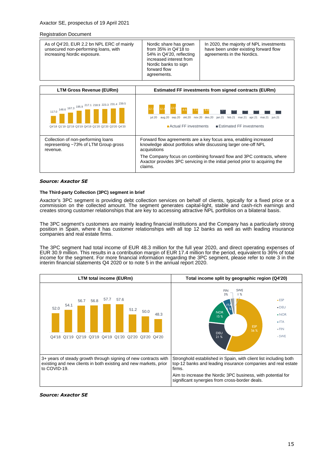| As of Q4'20, EUR 2.2 bn NPL ERC of mainly<br>unsecured non-performing loans, with<br>increasing Nordic exposure. | Nordic share has grown<br>from $35\%$ in Q4'18 to<br>54% in Q4'20, reflecting<br>increased interest from<br>Nordic banks to sign<br>forward flow<br>agreements. | In 2020, the majority of NPL investments<br>have been under existing forward flow<br>agreements in the Nordics. |
|------------------------------------------------------------------------------------------------------------------|-----------------------------------------------------------------------------------------------------------------------------------------------------------------|-----------------------------------------------------------------------------------------------------------------|
|------------------------------------------------------------------------------------------------------------------|-----------------------------------------------------------------------------------------------------------------------------------------------------------------|-----------------------------------------------------------------------------------------------------------------|

| <b>LTM Gross Revenue (EURm)</b>                                                                                | Estimated FF investments from signed contracts (EURm)                                                                                                          |  |  |  |  |
|----------------------------------------------------------------------------------------------------------------|----------------------------------------------------------------------------------------------------------------------------------------------------------------|--|--|--|--|
| 117.0 148.6 167.3 195.9 217.1 218.9 223.3 231.4 239.5<br>Q4'18 Q1'19 Q2'19 Q3'19 Q4'19 Q1'20 Q2'20 Q3'20 Q4'20 | iul.20<br>okt.20 nov.20 des.20 jan.21 feb.21 mar.21 apr.21<br>aug.20 sep.20<br>mai.21 jun.21<br>Actual FF investments<br>■ Estimated FF investments            |  |  |  |  |
| Collection of non-performing loans<br>representing ~73% of LTM Group gross<br>revenue.                         | Forward flow agreements are a key focus area, enabling increased<br>knowledge about portfolios while discussing larger one-off NPL<br>acquisitions             |  |  |  |  |
|                                                                                                                | The Company focus on combining forward flow and 3PC contracts, where<br>Axactor provides 3PC servicing in the initial period prior to acquiring the<br>claims. |  |  |  |  |

#### *Source: Axactor SE*

#### **The Third-party Collection (3PC) segment in brief**

Axactor's 3PC segment is providing debt collection services on behalf of clients, typically for a fixed price or a commission on the collected amount. The segment generates capital-light, stable and cash-rich earnings and creates strong customer relationships that are key to accessing attractive NPL portfolios on a bilateral basis.

The 3PC segment's customers are mainly leading financial institutions and the Company has a particularly strong position in Spain, where it has customer relationships with all top 12 banks as well as with leading insurance companies and real estate firms.

The 3PC segment had total income of EUR 48.3 million for the full year 2020, and direct operating expenses of EUR 30.9 million. This results in a contribution margin of EUR 17.4 million for the period, equivalent to 36% of total income for the segment. For more financial information regarding the 3PC segment, please refer to note 3 in the interim financial statements Q4 2020 or to note 5 in the annual report 2020.



*Source: Axactor SE*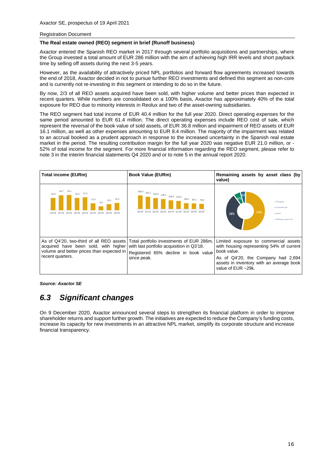#### **The Real estate owned (REO) segment in brief (Runoff business)**

Axactor entered the Spanish REO market in 2017 through several portfolio acquisitions and partnerships, where the Group invested a total amount of EUR 286 million with the aim of achieving high IRR levels and short payback time by selling off assets during the next 3-5 years.

However, as the availability of attractively priced NPL portfolios and forward flow agreements increased towards the end of 2018, Axactor decided in not to pursue further REO investments and defined this segment as non-core and is currently not re-investing in this segment or intending to do so in the future.

By now, 2/3 of all REO assets acquired have been sold, with higher volume and better prices than expected in recent quarters. While numbers are consolidated on a 100% basis, Axactor has approximately 40% of the total exposure for REO due to minority interests in Reolux and two of the asset-owning subsidiaries.

The REO segment had total income of EUR 40.4 million for the full year 2020. Direct operating expenses for the same period amounted to EUR 61.4 million. The direct operating expenses include REO cost of sale, which represent the reversal of the book value of sold assets, of EUR 36.8 million and impairment of REO assets of EUR 16.1 million, as well as other expenses amounting to EUR 8.4 million. The majority of the impairment was related to an accrual booked as a prudent approach in response to the increased uncertainty in the Spanish real estate market in the period. The resulting contribution margin for the full year 2020 was negative EUR 21.0 million, or - 52% of total income for the segment. For more financial information regarding the REO segment, please refer to note 3 in the interim financial statements Q4 2020 and or to note 5 in the annual report 2020.

| Total income (EURm)                                                                                                                               | <b>Book Value (EURm)</b>                                                                                                                     | Remaining assets by asset class (by<br>value)                                                                                                                                                                   |
|---------------------------------------------------------------------------------------------------------------------------------------------------|----------------------------------------------------------------------------------------------------------------------------------------------|-----------------------------------------------------------------------------------------------------------------------------------------------------------------------------------------------------------------|
| 25.1<br>24.7<br>21.3<br>20.2<br>20.3<br>12.2<br>11.5<br>10.1<br>6.6<br>Q4'18 Q1'19 Q2'19 Q3'19 Q4'19 Q1'20 Q2'20<br>Q3'20 Q4'20                   | 200.0 181.1 162.5 148.1 129.0 120.3<br>88.6 84.2 78.8<br>Q4'18 Q1'19 Q2'19 Q3'19 Q4'19 Q1'20<br>O2'20<br>O3'20<br>O4'20                      | · Housing<br>• Commercial<br>54%<br>$\bullet$ Land<br>38%<br>· Parking, annex etc.                                                                                                                              |
| As of Q4'20, two-third of all REO assets<br>acquired have been sold, with higher<br>volume and better prices than expected in<br>recent quarters. | Total portfolio investments of EUR 286m,<br>with last portfolio acquisition in Q3'18.<br>Registered 65% decline in book value<br>since peak. | Limited exposure to commercial assets<br>with housing representing 54% of current<br>book value.<br>As of Q4'20, the Company had 2,694<br>assets in inventory with an average book<br>value of $EUR \sim 29k$ . |

*Source: Axactor SE* 

### *6.3 Significant changes*

On 9 December 2020, Axactor announced several steps to strengthen its financial platform in order to improve shareholder returns and support further growth. The initiatives are expected to reduce the Company's funding costs, increase its capacity for new investments in an attractive NPL market, simplify its corporate structure and increase financial transparency.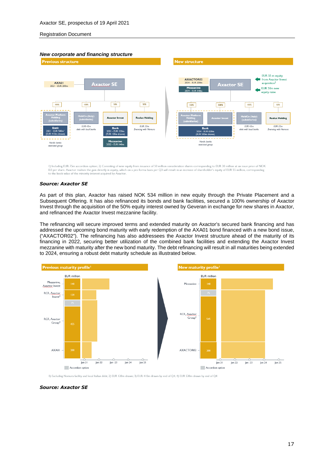

I) Including EUR 75m accordion option; 2) Consisting of new equity from issuance of 50 million consideration shares corresponding to EUR 38 million at an issue price of NOK to the book value of the minority interest acquired by Axactor.<br>The district of the property of the minority interest acquired by hequity, which on a pro forma basis per Q3 will result in an increase of shareholder's equit

#### *Source: Axactor SE*

As part of this plan, Axactor has raised NOK 534 million in new equity through the Private Placement and a Subsequent Offering. It has also refinanced its bonds and bank facilities, secured a 100% ownership of Axactor Invest through the acquisition of the 50% equity interest owned by Geveran in exchange for new shares in Axactor, and refinanced the Axactor Invest mezzanine facility.

The refinancing will secure improved terms and extended maturity on Axactor's secured bank financing and has addressed the upcoming bond maturity with early redemption of the AXA01 bond financed with a new bond issue, ("AXACTOR02"). The refinancing has also addressees the Axactor Invest structure ahead of the maturity of its financing in 2022, securing better utilization of the combined bank facilities and extending the Axactor Invest mezzanine with maturity after the new bond maturity. The debt refinancing will result in all maturities being extended to 2024, ensuring a robust debt maturity schedule as illustrated below.



1) Excluding Nomura facility and local Italian debt; 2) EUR 120m drawn; 3) EUR 410m drawn by end of Q4; 4) EUR 530m drawn by end of Q4

#### *Source: Axactor SE*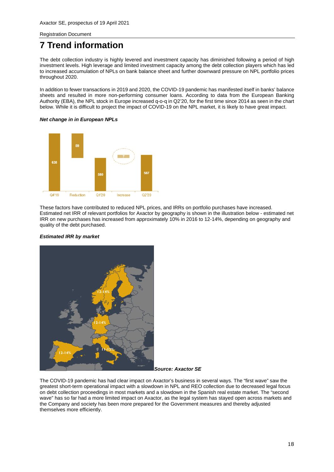### <span id="page-17-0"></span>**7 Trend information**

The debt collection industry is highly levered and investment capacity has diminished following a period of high investment levels. High leverage and limited investment capacity among the debt collection players which has led to increased accumulation of NPLs on bank balance sheet and further downward pressure on NPL portfolio prices throughout 2020.

In addition to fewer transactions in 2019 and 2020, the COVID-19 pandemic has manifested itself in banks' balance sheets and resulted in more non-performing consumer loans. According to data from the European Banking Authority (EBA), the NPL stock in Europe increased q-o-q in Q2'20, for the first time since 2014 as seen in the chart below. While it is difficult to project the impact of COVID-19 on the NPL market, it is likely to have great impact.

#### *Net change in in European NPLs*



These factors have contributed to reduced NPL prices, and IRRs on portfolio purchases have increased. Estimated net IRR of relevant portfolios for Axactor by geography is shown in the illustration below - estimated net IRR on new purchases has increased from approximately 10% in 2016 to 12-14%, depending on geography and quality of the debt purchased.



#### *Estimated IRR by market*

*Source: Axactor SE* 

The COVID-19 pandemic has had clear impact on Axactor's business in several ways. The "first wave" saw the greatest short-term operational impact with a slowdown in NPL and REO collection due to decreased legal focus on debt collection proceedings in most markets and a slowdown in the Spanish real estate market. The "second wave" has so far had a more limited impact on Axactor, as the legal system has stayed open across markets and the Company and society has been more prepared for the Government measures and thereby adjusted themselves more efficiently.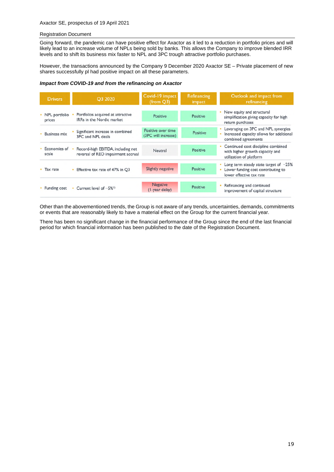Going forward, the pandemic can have positive effect for Axactor as it led to a reduction in portfolio prices and will likely lead to an increase volume of NPLs being sold by banks. This allows the Company to improve blended IRR levels and to shift its business mix faster to NPL and 3PC trough attractive portfolio purchases.

However, the transactions announced by the Company 9 December 2020 Axactor SE – Private placement of new shares successfully pl had positive impact on all these parameters.

#### *Impact from COVID-19 and from the refinancing on Axactor*

| <b>Drivers</b>          | O3 2020                                                                 | Covid-19 impact<br>(from Q3)              | <b>Refinancing</b><br>impact | Outlook and impact from<br>refinancing                                                                      |
|-------------------------|-------------------------------------------------------------------------|-------------------------------------------|------------------------------|-------------------------------------------------------------------------------------------------------------|
| NPL portfolio<br>prices | Portfolios acquired at attractive<br>IRRs in the Nordic market          | Positive                                  | Positive                     | New equity and structural<br>simplification giving capacity for high<br>return purchases                    |
| <b>Business mix</b>     | Significant increase in combined<br>3PC and NPL deals                   | Positive over time<br>(3PC will increase) | <b>Positive</b>              | Leveraging on 3PC and NPL synergies<br>• Increased capacity allows for additional<br>combined agreements    |
| Economies of<br>scale   | Record-high EBITDA, including net<br>reversal of REO impairment accrual | Neutral                                   | Positive                     | Continued cost discipline combined<br>with higher growth capacity and<br>utilization of platform            |
| • Tax rate              | Effective tax rate of 47% in Q3                                         | Slightly negative                         | Positive                     | Long term steady state target of $-25%$<br>• Lower funding cost contributing to<br>lower effective tax rate |
| Funding cost            | • Current level of $-5\%$ <sup>1</sup> )                                | Negative<br>(I-year delay)                | Positive                     | Refinancing and continued<br>improvement of capital structure                                               |

Other than the abovementioned trends, the Group is not aware of any trends, uncertainties, demands, commitments or events that are reasonably likely to have a material effect on the Group for the current financial year.

There has been no significant change in the financial performance of the Group since the end of the last financial period for which financial information has been published to the date of the Registration Document.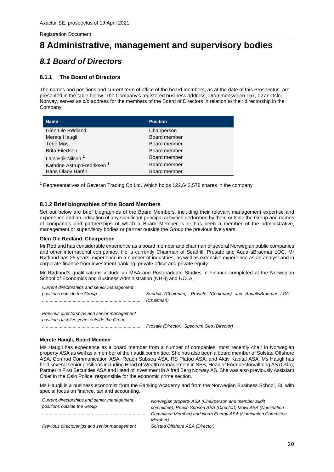### <span id="page-19-0"></span>**8 Administrative, management and supervisory bodies**

### *8.1 Board of Directors*

#### **8.1.1 The Board of Directors**

The names and positions and current term of office of the board members, as at the date of this Prospectus, are presented in the table below. The Company's registered business address, Drammensveien 167, 0277 Oslo, Norway, serves as c/o address for the members of the Board of Directors in relation to their directorship in the Company.

| <b>Name</b>                             | <b>Position</b> |
|-----------------------------------------|-----------------|
| Glen Ole Rødland                        | Chairperson     |
| Merete Haugli                           | Board member    |
| Terje Møs                               | Board member    |
| <b>Brita Eilertsen</b>                  | Board member    |
| Lars Erik Nilsen <sup>1</sup>           | Board member    |
| Kathrine Astrup Fredriksen <sup>1</sup> | Board member    |
| Hans Olaov Harén                        | Board member    |

<sup>1</sup> Representatives of Geveran Trading Co Ltd. Which holds 122.643.578 shares in the company

#### **8.1.2 Brief biographies of the Board Members**

Set out below are brief biographies of the Board Members, including their relevant management expertise and experience and an indication of any significant principal activities performed by them outside the Group and names of companies and partnerships of which a Board Member is or has been a member of the administrative, management or supervisory bodies or partner outside the Group the previous five years.

#### **Glen Ole Rødland, Chairperson**

Mr Rødland has considerable experience as a board member and chairman of several Norwegian public companies and other international companies. He is currently Chairman of Seadrill, Prosafe and AqualisBraemar LOC. Mr Rødland has 25 years' experience in a number of industries, as well as extensive experience as an analyst and in corporate finance from investment banking, private office and private equity.

Mr Rødland's qualifications include an MBA and Postgraduate Studies in Finance completed at the Norwegian School of Economics and Business Administration (NHH) and UCLA.

*Current directorships and senior management positions outside the Group ............................................................................. Seadrill (Chairman), Prosafe (Chairman) and AqualisBraemar LOC (Chairman)* 

*Previous directorships and senior management positions last five years outside the Group*

 *............................................................................. Prosafe (Director), Spectrum Geo (Director)* 

#### **Merete Haugli, Board Member**

Ms Haugli has experience as a board member from a number of companies, most recently chair in Norwegian property ASA as well as a member of their audit committee. She has also been a board member of Solstad Offshore ASA, Comrod Communication ASA, Reach Subsea ASA, RS Platou ASA, and Aktiv Kapital ASA. Ms Haugli has held several senior positions including Head of Wealth management in SEB, Head of Formuesforvaltning AS (Oslo), Partner in First Securities ASA and Head of investment in Alfred Berg Norway AS. She was also previously Assistant Chief in the Oslo Police, responsible for the economic crime section.

Ms Haugli is a business economist from the Banking Academy and from the Norwegian Business School, BI, with special focus on finance, tax and accounting.

| Current directorships and senior management  | Norwegian property ASA (Chairperson and member audit          |
|----------------------------------------------|---------------------------------------------------------------|
| positions outside the Group                  | committee), Reach Subsea ASA (Director), Mowi ASA (Nomination |
|                                              | Committee Member) and North Energy ASA (Nomination Committee  |
|                                              | Member)                                                       |
| Previous directorships and senior management | Solstad Offshore ASA (Director)                               |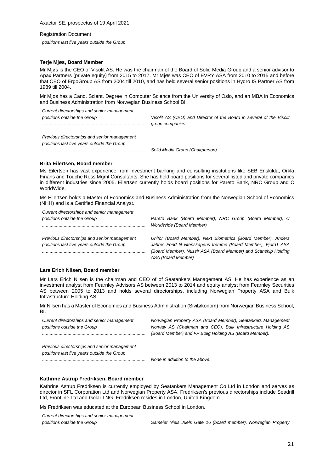Axactor SE, prospectus of 19 April 2021

#### Registration Document

*positions last five years outside the Group*

 *.................................................................................* 

#### **Terje Mjøs, Board Member**

Mr Mjøs is the CEO of Visolit AS. He was the chairman of the Board of Solid Media Group and a senior advisor to Apax Partners (private equity) from 2015 to 2017. Mr Mjøs was CEO of EVRY ASA from 2010 to 2015 and before that CEO of ErgoGroup AS from 2004 till 2010, and has held several senior positions in Hydro IS Partner AS from 1989 till 2004.

Mr Mjøs has a Cand. Scient. Degree in Computer Science from the University of Oslo, and an MBA in Economics and Business Administration from Norwegian Business School BI.

*Current directorships and senior management positions outside the Group ................................................................................. Visolit AS (CEO) and Director of the Board in several of the Visolit group companies.* 

*Previous directorships and senior management positions last five years outside the Group*

 *................................................................................. Solid Media Group (Chairperson)* 

#### **Brita Eilertsen, Board member**

Ms Eilertsen has vast experience from investment banking and consulting institutions like SEB Enskilda, Orkla Finans and Touche Ross Mgmt Consultants. She has held board positions for several listed and private companies in different industries since 2005. Eilertsen currently holds board positions for Pareto Bank, NRC Group and C WorldWide.

Ms Eilertsen holds a Master of Economics and Business Administration from the Norwegian School of Economics (NHH) and is a Certified Financial Analyst.

| Current directorships and senior management  |                                                                |
|----------------------------------------------|----------------------------------------------------------------|
| positions outside the Group                  | Pareto Bank (Board Member), NRC Group (Board Member), C        |
|                                              | WorldWide (Board Member)                                       |
| Previous directorships and senior management | Unifor (Board Member), Next Biometrics (Board Member), Anders  |
| positions last five years outside the Group  | Jahres Fond til vitenskapens fremme (Board Member), Fjord1 ASA |
|                                              | (Board Member), Nussir ASA (Board Member) and Scanship Holding |
|                                              | ASA (Board Member)                                             |

#### **Lars Erich Nilsen, Board member**

Mr Lars Erich Nilsen is the chairman and CEO of of Seatankers Management AS. He has experience as an investment analyst from Fearnley Advisors AS between 2013 to 2014 and equity analyst from Fearnley Securities AS between 2005 to 2013 and holds several directorships, including Norwegian Property ASA and Bulk Infrastructure Holding AS.

Mr Nilsen has a Master of Economics and Business Administration (Siviløkonom) from Norwegian Business School, BI.

*Current directorships and senior management positions outside the Group ................................................................................. Norwegian Property ASA (Board Member), Seatankers Management Norway AS (Chairman and CEO), Bulk Infrastructure Holding AS (Board Member) and FP Bolig Holding AS (Board Member).* 

*Previous directorships and senior management positions last five years outside the Group*

 *................................................................................. None in addition to the above.* 

#### **Kathrine Astrup Fredriksen, Board member**

Kathrine Astrup Fredriksen is currently employed by Seatankers Management Co Ltd in London and serves as director in SFL Corporation Ltd and Norwegian Property ASA. Fredriksen's previous directorships include Seadrill Ltd, Frontline Ltd and Golar LNG. Fredriksen resides in London, United Kingdom.

Ms Fredriksen was educated at the European Business School in London.

*Current directorships and senior management* 

*positions outside the Group Sameiet Niels Juels Gate 16 (board member), Norwegian Property*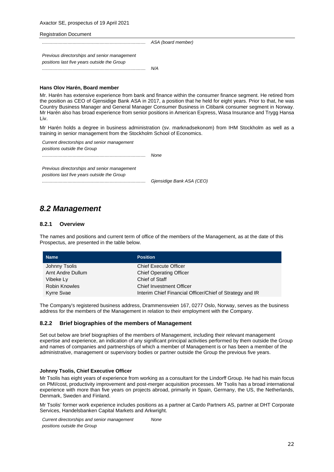Registration Document  *................................................................................. ASA (board member) Previous directorships and senior management positions last five years outside the Group ................................................................................. N/A* 

#### **Hans Olov Harén, Board member**

Mr. Harén has extensive experience from bank and finance within the consumer finance segment. He retired from the position as CEO of Gjensidige Bank ASA in 2017, a position that he held for eight years. Prior to that, he was Country Business Manager and General Manager Consumer Business in Citibank consumer segment in Norway. Mr Harén also has broad experience from senior positions in American Express, Wasa Insurance and Trygg Hansa Liv.

Mr Harén holds a degree in business administration (sv. marknadsekonom) from IHM Stockholm as well as a training in senior management from the Stockholm School of Economics.

*Current directorships and senior management positions outside the Group ................................................................................. None* 

*Previous directorships and senior management positions last five years outside the Group*

 *................................................................................. Gjensidige Bank ASA (CEO)* 

### *8.2 Management*

#### **8.2.1 Overview**

The names and positions and current term of office of the members of the Management, as at the date of this Prospectus, are presented in the table below.

| <b>Name</b>          | <b>Position</b>                                          |
|----------------------|----------------------------------------------------------|
| Johnny Tsolis        | <b>Chief Execute Officer</b>                             |
| Arnt Andre Dullum    | <b>Chief Operating Officer</b>                           |
| Vibeke Ly            | Chief of Staff                                           |
| <b>Robin Knowles</b> | <b>Chief Investment Officer</b>                          |
| <b>Kyrre Svae</b>    | Interim Chief Financial Officer/Chief of Strategy and IR |

The Company's registered business address, Drammensveien 167, 0277 Oslo, Norway, serves as the business address for the members of the Management in relation to their employment with the Company.

#### **8.2.2 Brief biographies of the members of Management**

Set out below are brief biographies of the members of Management, including their relevant management expertise and experience, an indication of any significant principal activities performed by them outside the Group and names of companies and partnerships of which a member of Management is or has been a member of the administrative, management or supervisory bodies or partner outside the Group the previous five years.

#### **Johnny Tsolis, Chief Executive Officer**

Mr Tsolis has eight years of experience from working as a consultant for the Lindorff Group. He had his main focus on PMI/cost, productivity improvement and post-merger acquisition processes. Mr Tsolis has a broad international experience with more than five years on projects abroad, primarily in Spain, Germany, the US, the Netherlands, Denmark, Sweden and Finland.

Mr Tsolis' former work experience includes positions as a partner at Cardo Partners AS, partner at DHT Corporate Services, Handelsbanken Capital Markets and Arkwright.

*Current directorships and senior management positions outside the Group None*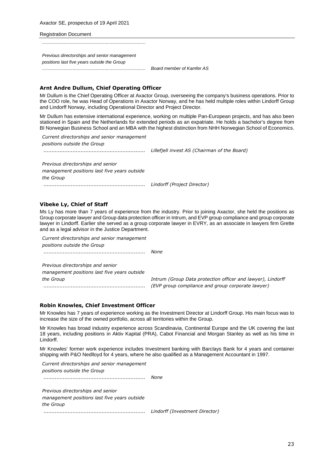*Previous directorships and senior management positions last five years outside the Group*

 *.................................................................................* 

 *................................................................................. Board member of Kamfer AS* 

#### **Arnt Andre Dullum, Chief Operating Officer**

Mr Dullum is the Chief Operating Officer at Axactor Group, overseeing the company's business operations. Prior to the COO role, he was Head of Operations in Axactor Norway, and he has held multiple roles within Lindorff Group and Lindorff Norway, including Operational Director and Project Director.

Mr Dullum has extensive international experience, working on multiple Pan-European projects, and has also been stationed in Spain and the Netherlands for extended periods as an expatriate. He holds a bachelor's degree from BI Norwegian Business School and an MBA with the highest distinction from NHH Norwegian School of Economics.

*Current directorships and senior management positions outside the Group ............................................................... Lillefjell invest AS (Chairman of the Board) Previous directorships and senior management positions last five years outside the Group ............................................................... Lindorff (Project Director)* 

#### **Vibeke Ly, Chief of Staff**

Ms Ly has more than 7 years of experience from the industry. Prior to joining Axactor, she held the positions as Group corporate lawyer and Group data protection officer in Intrum, and EVP group compliance and group corporate lawyer in Lindorff. Earlier she served as a group corporate lawyer in EVRY, as an associate in lawyers firm Grette and as a legal advisor in the Justice Department.

*Current directorships and senior management positions outside the Group ............................................................... None Previous directorships and senior management positions last five years outside the Group ............................................................... Intrum (Group Data protection officer and lawyer), Lindorff (EVP group compliance and group corporate lawyer)* 

#### **Robin Knowles, Chief Investment Officer**

Mr Knowles has 7 years of experience working as the Investment Director at Lindorff Group. His main focus was to increase the size of the owned portfolio, across all territories within the Group.

Mr Knowles has broad industry experience across Scandinavia, Continental Europe and the UK covering the last 18 years, including positions in Aktiv Kapital (PRA), Cabot Financial and Morgan Stanley as well as his time in Lindorff.

Mr Knowles' former work experience includes Investment banking with Barclays Bank for 4 years and container shipping with P&O Nedlloyd for 4 years, where he also qualified as a Management Accountant in 1997.

*Current directorships and senior management positions outside the Group ............................................................... None Previous directorships and senior management positions last five years outside the Group ............................................................... Lindorff (Investment Director)*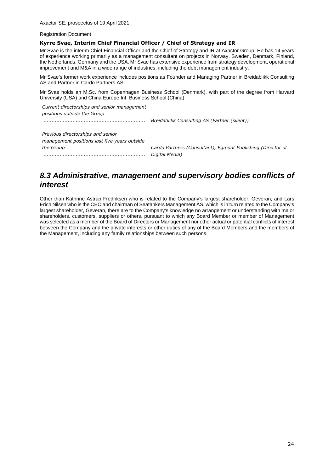#### **Kyrre Svae, Interim Chief Financial Officer / Chief of Strategy and IR**

Mr Svae is the interim Chief Financial Officer and the Chief of Strategy and IR at Axactor Group. He has 14 years of experience working primarily as a management consultant on projects in Norway, Sweden, Denmark, Finland, the Netherlands, Germany and the USA. Mr Svae has extensive experience from strategy development, operational improvement and M&A in a wide range of industries, including the debt management industry.

Mr Svae's former work experience includes positions as Founder and Managing Partner in Breidablikk Consulting AS and Partner in Cardo Partners AS.

Mr Svae holds an M.Sc. from Copenhagen Business School (Denmark), with part of the degree from Harvard University (USA) and China Europe Int. Business School (China).

*Current directorships and senior management positions outside the Group ............................................................... Breidablikk Consulting AS (Partner (silent)) Previous directorships and senior management positions last five years outside the Group ............................................................... Cardo Partners (Consultant), Egmont Publishing (Director of Digital Media)* 

### *8.3 Administrative, management and supervisory bodies conflicts of interest*

Other than Kathrine Astrup Fredriksen who is related to the Company's largest shareholder, Geveran, and Lars Erich Nilsen who is the CEO and chairman of Seatankers Management AS, which is in turn related to the Company's largest shareholder, Geveran, there are to the Company's knowledge no arrangement or understanding with major shareholders, customers, suppliers or others, pursuant to which any Board Member or member of Management was selected as a member of the Board of Directors or Management nor other actual or potential conflicts of interest between the Company and the private interests or other duties of any of the Board Members and the members of the Management, including any family relationships between such persons.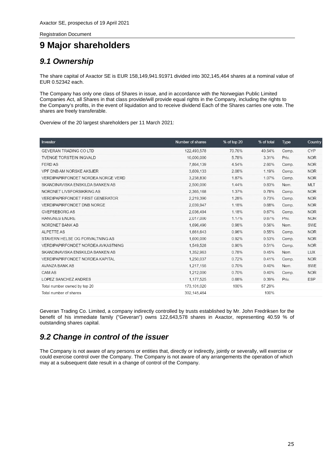### <span id="page-24-0"></span>**9 Major shareholders**

### *9.1 Ownership*

The share capital of Axactor SE is EUR 158,149,941.91971 divided into 302,145,464 shares at a nominal value of EUR 0.52342 each.

The Company has only one class of Shares in issue, and in accordance with the Norwegian Public Limited Companies Act, all Shares in that class provide/will provide equal rights in the Company, including the rights to the Company's profits, in the event of liquidation and to receive dividend Each of the Shares carries one vote. The shares are freely transferable.

Overview of the 20 largest shareholders per 11 March 2021:

| Investor                                | Number of shares | % of top 20 | % of total | <b>Type</b> | Country    |
|-----------------------------------------|------------------|-------------|------------|-------------|------------|
| <b>GEVERAN TRADING CO LTD</b>           | 122,493,578      | 70.76%      | 40.54%     | Comp.       | <b>CYP</b> |
| <b>TVENGE TORSTEIN INGVALD</b>          | 10,000,000       | 5.78%       | 3.31%      | Priv.       | <b>NOR</b> |
| <b>FERD AS</b>                          | 7,864,139        | 4.54%       | 2.60%      | Comp.       | <b>NOR</b> |
| VPF DNB AM NORSKE AKSJER                | 3,609,133        | 2.08%       | 1.19%      | Comp.       | <b>NOR</b> |
| VERDIPAPIRFONDET NORDEA NORGE VERD      | 3,238,830        | 1.87%       | 1.07%      | Comp.       | <b>NOR</b> |
| SKANDINAVISKA ENSKILDA BANKEN AB        | 2,500,000        | 1.44%       | 0.83%      | Nom.        | <b>MLT</b> |
| NORDNET LIVSFORSIKRING AS               | 2,365,168        | 1.37%       | 0.78%      | Comp.       | <b>NOR</b> |
| <b>VERDIPAPIRFONDET FIRST GENERATOR</b> | 2,219,390        | 1.28%       | 0.73%      | Comp.       | <b>NOR</b> |
| <b>VERDIPAPIRFONDET DNB NORGE</b>       | 2.039.947        | 1.18%       | 0.68%      | Comp.       | <b>NOR</b> |
| <b>GVEPSEBORG AS</b>                    | 2.036.494        | 1.18%       | 0.67%      | Comp.       | <b>NOR</b> |
| <b>RANGNES ENDRE</b>                    | 2,017,000        | 1.17%       | 0.67%      | Priv.       | <b>NOR</b> |
| NORDNET BANK AB                         | 1,696,490        | 0.98%       | 0.56%      | Nom.        | <b>SWE</b> |
| <b>ALPETTE AS</b>                       | 1.661.643        | 0.96%       | 0.55%      | Comp.       | <b>NOR</b> |
| STAVERN HELSE OG FORVALTNING AS         | 1,600,000        | 0.92%       | 0.53%      | Comp.       | <b>NOR</b> |
| VERDIPAPIRFONDET NORDEA AVKASTNING      | 1,549,528        | 0.90%       | 0.51%      | Comp.       | <b>NOR</b> |
| SKANDINAVISKA ENSKILDA BANKEN AB        | 1,352,963        | 0.78%       | 0.45%      | Nom.        | <b>LUX</b> |
| VERDIPAPIRFONDET NORDEA KAPITAL         | 1,250,037        | 0.72%       | 0.41%      | Comp.       | <b>NOR</b> |
| AVANZA BANK AB                          | 1,217,155        | 0.70%       | 0.40%      | Nom.        | <b>SWE</b> |
| CAM AS                                  | 1,212,000        | 0.70%       | 0.40%      | Comp.       | <b>NOR</b> |
| LOPEZ SANCHEZ ANDRES                    | 1,177,525        | 0.68%       | 0.39%      | Priv.       | <b>ESP</b> |
| Total number owned by top 20            | 173,101,020      | 100%        | 57.29%     |             |            |
| Total number of shares                  | 302.145.464      |             | 100%       |             |            |

Geveran Trading Co. Limited, a company indirectly controlled by trusts established by Mr. John Fredriksen for the benefit of his immediate family ("Geveran") owns 122,643,578 shares in Axactor, representing 40.59 % of outstanding shares capital.

### *9.2 Change in control of the issuer*

The Company is not aware of any persons or entities that, directly or indirectly, jointly or severally, will exercise or could exercise control over the Company. The Company is not aware of any arrangements the operation of which may at a subsequent date result in a change of control of the Company.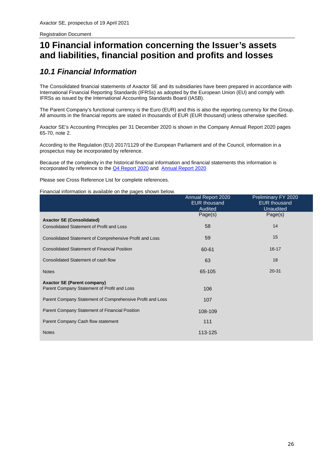### <span id="page-25-0"></span>**10 Financial information concerning the Issuer's assets and liabilities, financial position and profits and losses**

### *10.1 Financial Information*

The Consolidated financial statements of Axactor SE and its subsidiaries have been prepared in accordance with International Financial Reporting Standards (IFRSs) as adopted by the European Union (EU) and comply with IFRSs as issued by the International Accounting Standards Board (IASB).

The Parent Company's functional currency is the Euro (EUR) and this is also the reporting currency for the Group. All amounts in the financial reports are stated in thousands of EUR (EUR thousand) unless otherwise specified.

Axactor SE's Accounting Principles per 31 December 2020 is shown in the Company Annual Report 2020 pages 65-70, note 2.

According to the Regulation (EU) 2017/1129 of the European Parliament and of the Council, information in a prospectus may be incorporated by reference.

Because of the complexity in the historical financial information and financial statements this information is incorporated by reference to the [Q4 Report 2020](https://www.axactor.com/assets/GROUP-Investor-Relations-assets/Reports-and-presentations/2020/Quarterly-Report-Q4-2020.pdf) and [Annual Report 2020](https://staxactorcorpwebprod.blob.core.windows.net/assets/GROUP-Investor-Relations-assets/Reports-and-presentations/2020/Axactor-Annual-Report-2020.pdf)

Please see Cross Reference List for complete references.

#### Financial information is available on the pages shown below.

|                                                                               | <b>Annual Report 2020</b><br><b>EUR thousand</b><br>Audited | Preliminary FY 2020<br><b>EUR thousand</b><br><b>Unaudited</b> |
|-------------------------------------------------------------------------------|-------------------------------------------------------------|----------------------------------------------------------------|
|                                                                               | Page(s)                                                     | Page(s)                                                        |
| <b>Axactor SE (Consolidated)</b><br>Consolidated Statement of Profit and Loss | 58                                                          | 14                                                             |
|                                                                               |                                                             |                                                                |
| Consolidated Statement of Comprehensive Profit and Loss                       | 59                                                          | 15                                                             |
| <b>Consolidated Statement of Financial Position</b>                           | 60-61                                                       | $16 - 17$                                                      |
| Consolidated Statement of cash flow                                           | 63                                                          | 18                                                             |
| <b>Notes</b>                                                                  | 65-105                                                      | 20-31                                                          |
| <b>Axactor SE (Parent company)</b>                                            |                                                             |                                                                |
| Parent Company Statement of Profit and Loss                                   | 106                                                         |                                                                |
| Parent Company Statement of Comprehensive Profit and Loss                     | 107                                                         |                                                                |
| Parent Company Statement of Financial Position                                | 108-109                                                     |                                                                |
| Parent Company Cash flow statement                                            | 111                                                         |                                                                |
| <b>Notes</b>                                                                  | 113-125                                                     |                                                                |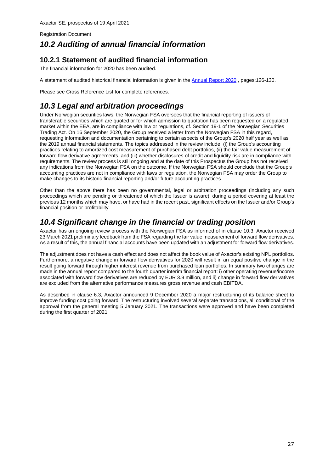### *10.2 Auditing of annual financial information*

### **10.2.1 Statement of audited financial information**

The financial information for 2020 has been audited.

A statement of audited historical financial information is given in the [Annual Report 2020](https://staxactorcorpwebprod.blob.core.windows.net/assets/GROUP-Investor-Relations-assets/Reports-and-presentations/2020/Axactor-Annual-Report-2020.pdf) , pages:126-130.

Please see Cross Reference List for complete references.

### *10.3 Legal and arbitration proceedings*

Under Norwegian securities laws, the Norwegian FSA oversees that the financial reporting of issuers of transferable securities which are quoted or for which admission to quotation has been requested on a regulated market within the EEA, are in compliance with law or regulations, cf. Section 19-1 of the Norwegian Securities Trading Act. On 16 September 2020, the Group received a letter from the Norwegian FSA in this regard, requesting information and documentation pertaining to certain aspects of the Group's 2020 half year as well as the 2019 annual financial statements. The topics addressed in the review include; (i) the Group's accounting practices relating to amortized cost measurement of purchased debt portfolios, (ii) the fair value measurement of forward flow derivative agreements, and (iii) whether disclosures of credit and liquidity risk are in compliance with requirements. The review process is still ongoing and at the date of this Prospectus the Group has not received any indications from the Norwegian FSA on the outcome. If the Norwegian FSA should conclude that the Group's accounting practices are not in compliance with laws or regulation, the Norwegian FSA may order the Group to make changes to its historic financial reporting and/or future accounting practices.

Other than the above there has been no governmental, legal or arbitration proceedings (including any such proceedings which are pending or threatened of which the Issuer is aware), during a period covering at least the previous 12 months which may have, or have had in the recent past, significant effects on the Issuer and/or Group's financial position or profitability.

### *10.4 Significant change in the financial or trading position*

Axactor has an ongoing review process with the Norwegian FSA as informed of in clause 10.3. Axactor received 23 March 2021 preliminary feedback from the FSA regarding the fair value measurement of forward flow derivatives. As a result of this, the annual financial accounts have been updated with an adjustment for forward flow derivatives.

The adjustment does not have a cash effect and does not affect the book value of Axactor's existing NPL portfolios. Furthermore, a negative change in forward flow derivatives for 2020 will result in an equal positive change in the result going forward through higher interest revenue from purchased loan portfolios. In summary two changes are made in the annual report compared to the fourth quarter interim financial report: i) other operating revenue/income associated with forward flow derivatives are reduced by EUR 3.9 million, and ii) change in forward flow derivatives are excluded from the alternative performance measures gross revenue and cash EBITDA.

As described in clause 6.3, Axactor announced 9 December 2020 a major restructuring of its balance sheet to improve funding cost going forward. The restructuring involved several separate transactions, all conditional of the approval from the general meeting 5 January 2021. The transactions were approved and have been completed during the first quarter of 2021.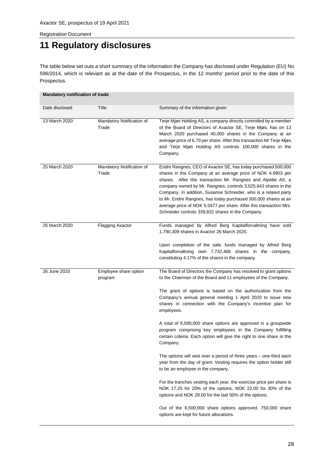### <span id="page-27-0"></span>**11 Regulatory disclosures**

The table below set outs a short summary of the information the Company has disclosed under Regulation (EU) No 596/2014, which is relevant as at the date of the Prospectus, in the 12 months' period prior to the date of this Prospectus.

| Mandatory notification of trade |                                    |                                                                                                                                                                                                                                                                                                                                                                                                                                                                                                                                |
|---------------------------------|------------------------------------|--------------------------------------------------------------------------------------------------------------------------------------------------------------------------------------------------------------------------------------------------------------------------------------------------------------------------------------------------------------------------------------------------------------------------------------------------------------------------------------------------------------------------------|
| Date disclosed                  | Title                              | Summary of the information given                                                                                                                                                                                                                                                                                                                                                                                                                                                                                               |
| 13 March 2020                   | Mandatory Notification of<br>Trade | Terje Mjøs Holding AS, a company directly controlled by a member<br>of the Board of Directors of Axactor SE, Terje Migs, has on 13<br>March 2020 purchased 40,000 shares in the Company at an<br>average price of 6.70 per share. After this transaction Mr Terje Mjøs<br>and Terje Mjøs Holding AS controls 100,000 shares in the<br>Company.                                                                                                                                                                                 |
| 25 March 2020                   | Mandatory Notification of<br>Trade | Endre Rangnes, CEO of Axactor SE, has today purchased 500,000<br>shares in the Company at an average price of NOK 4.9903 per<br>shares. After this transaction Mr. Rangnes and Alpette AS, a<br>company owned by Mr. Rangnes, controls 3,025,643 shares in the<br>Company. In addition, Susanne Schneider, who is a related party<br>to Mr. Endre Rangnes, has today purchased 300,000 shares at an<br>average price of NOK 5.0477 per share. After this transaction Mrs.<br>Schneider controls 339,832 shares in the Company. |
| 26 March 2020                   | <b>Flagging Axactor</b>            | Funds managed by Alfred Berg Kapitalforvaltning have sold<br>1,790,309 shares in Axactor 26 March 2020.                                                                                                                                                                                                                                                                                                                                                                                                                        |
|                                 |                                    | Upon completion of the sale, funds managed by Alfred Berg<br>Kapitalforvaltning own 7,732,466 shares in the company,<br>constituting 4.17% of the shares in the company.                                                                                                                                                                                                                                                                                                                                                       |
| 26 June 2020                    | Employee share option<br>program   | The Board of Directors the Company has resolved to grant options<br>to the Chairman of the Board and 11 employees of the Company.                                                                                                                                                                                                                                                                                                                                                                                              |
|                                 |                                    | The grant of options is based on the authorization from the<br>Company's annual general meeting 1 April 2020 to issue new<br>shares in connection with the Company's incentive plan for<br>employees.                                                                                                                                                                                                                                                                                                                          |
|                                 |                                    | A total of 6,500,000 share options are approved in a groupwide<br>program comprising key employees in the Company fulfilling<br>certain criteria. Each option will give the right to one share in the<br>Company.                                                                                                                                                                                                                                                                                                              |
|                                 |                                    | The options will vest over a period of three years $-$ one third each<br>year from the day of grant. Vesting requires the option holder still<br>to be an employee in the company.                                                                                                                                                                                                                                                                                                                                             |
|                                 |                                    | For the tranches vesting each year, the exercise price per share is<br>NOK 17.25 for 20% of the options, NOK 22.00 for 30% of the<br>options and NOK 28.00 for the last 50% of the options.                                                                                                                                                                                                                                                                                                                                    |
|                                 |                                    | Out of the 6,500,000 share options approved, 750,000 share<br>options are kept for future allocations.                                                                                                                                                                                                                                                                                                                                                                                                                         |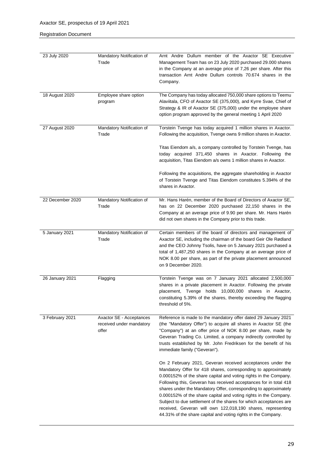| 23 July 2020     | Mandatory Notification of<br>Trade                            | Arnt Andre Dullum member of the Axactor SE Executive<br>Management Team has on 23 July 2020 purchased 29.000 shares<br>in the Company at an average price of 7,26 per share. After this<br>transaction Arnt Andre Dullum controls 70.674 shares in the<br>Company.                                                                                                                                                                                                                                                                                                                                                 |
|------------------|---------------------------------------------------------------|--------------------------------------------------------------------------------------------------------------------------------------------------------------------------------------------------------------------------------------------------------------------------------------------------------------------------------------------------------------------------------------------------------------------------------------------------------------------------------------------------------------------------------------------------------------------------------------------------------------------|
| 18 August 2020   | Employee share option<br>program                              | The Company has today allocated 750,000 share options to Teemu<br>Alaviitala, CFO of Axactor SE (375,000), and Kyrre Svae, Chief of<br>Strategy & IR of Axactor SE (375,000) under the employee share<br>option program approved by the general meeting 1 April 2020                                                                                                                                                                                                                                                                                                                                               |
| 27 August 2020   | Mandatory Notification of<br>Trade                            | Torstein Tvenge has today acquired 1 million shares in Axactor.<br>Following the acquisition, Tvenge owns 9 million shares in Axactor.                                                                                                                                                                                                                                                                                                                                                                                                                                                                             |
|                  |                                                               | Titas Eiendom a/s, a company controlled by Torstein Tvenge, has<br>today acquired 371,450 shares in Axactor. Following the<br>acquisition, Titas Eiendom a/s owns 1 million shares in Axactor.                                                                                                                                                                                                                                                                                                                                                                                                                     |
|                  |                                                               | Following the acquisitions, the aggregate shareholding in Axactor<br>of Torstein Tvenge and Titas Eiendom constitutes 5.394% of the<br>shares in Axactor.                                                                                                                                                                                                                                                                                                                                                                                                                                                          |
| 22 December 2020 | Mandatory Notification of<br>Trade                            | Mr. Hans Harén, member of the Board of Directors of Axactor SE,<br>has on 22 December 2020 purchased 22,150 shares in the<br>Company at an average price of 9.90 per share. Mr. Hans Harén<br>did not own shares in the Company prior to this trade.                                                                                                                                                                                                                                                                                                                                                               |
| 5 January 2021   | Mandatory Notification of<br>Trade                            | Certain members of the board of directors and management of<br>Axactor SE, including the chairman of the board Geir Ole Rødland<br>and the CEO Johnny Tsolis, have on 5 January 2021 purchased a<br>total of 1,487,250 shares in the Company at an average price of<br>NOK 8.00 per share, as part of the private placement announced<br>on 9 December 2020.                                                                                                                                                                                                                                                       |
| 26 January 2021  | Flagging                                                      | Torstein Tvenge was on 7 January 2021 allocated 2,500,000<br>shares in a private placement in Axactor. Following the private<br>placement,<br>Tvenge holds 10,000,000 shares in Axactor,<br>constituting 5.39% of the shares, thereby exceeding the flagging<br>threshold of 5%.                                                                                                                                                                                                                                                                                                                                   |
| 3 February 2021  | Axactor SE - Acceptances<br>received under mandatory<br>offer | Reference is made to the mandatory offer dated 29 January 2021<br>(the "Mandatory Offer") to acquire all shares in Axactor SE (the<br>"Company") at an offer price of NOK 8.00 per share, made by<br>Geveran Trading Co. Limited, a company indirectly controlled by<br>trusts established by Mr. John Fredriksen for the benefit of his<br>immediate family ("Geveran").                                                                                                                                                                                                                                          |
|                  |                                                               | On 2 February 2021, Geveran received acceptances under the<br>Mandatory Offer for 418 shares, corresponding to approximately<br>0.000152% of the share capital and voting rights in the Company.<br>Following this, Geveran has received acceptances for in total 418<br>shares under the Mandatory Offer, corresponding to approximately<br>0.000152% of the share capital and voting rights in the Company.<br>Subject to due settlement of the shares for which acceptances are<br>received, Geveran will own 122,018,190 shares, representing<br>44.31% of the share capital and voting rights in the Company. |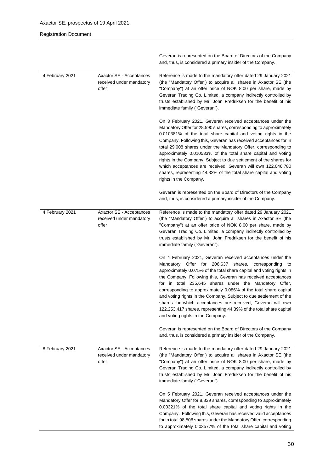|                          |                                                               | Geveran is represented on the Board of Directors of the Company<br>and, thus, is considered a primary insider of the Company.                                                                                                                                                                                                                                                                                                                                                                                                                                                                                                                 |
|--------------------------|---------------------------------------------------------------|-----------------------------------------------------------------------------------------------------------------------------------------------------------------------------------------------------------------------------------------------------------------------------------------------------------------------------------------------------------------------------------------------------------------------------------------------------------------------------------------------------------------------------------------------------------------------------------------------------------------------------------------------|
| 4 February 2021          | Axactor SE - Acceptances<br>received under mandatory<br>offer | Reference is made to the mandatory offer dated 29 January 2021<br>(the "Mandatory Offer") to acquire all shares in Axactor SE (the<br>"Company") at an offer price of NOK 8.00 per share, made by<br>Geveran Trading Co. Limited, a company indirectly controlled by<br>trusts established by Mr. John Fredriksen for the benefit of his<br>immediate family ("Geveran").                                                                                                                                                                                                                                                                     |
|                          |                                                               | On 3 February 2021, Geveran received acceptances under the<br>Mandatory Offer for 28,590 shares, corresponding to approximately<br>0.010381% of the total share capital and voting rights in the<br>Company. Following this, Geveran has received acceptances for in<br>total 29,008 shares under the Mandatory Offer, corresponding to<br>approximately 0.010533% of the total share capital and voting<br>rights in the Company. Subject to due settlement of the shares for<br>which acceptances are received, Geveran will own 122,046,780<br>shares, representing 44.32% of the total share capital and voting<br>rights in the Company. |
|                          |                                                               | Geveran is represented on the Board of Directors of the Company<br>and, thus, is considered a primary insider of the Company.                                                                                                                                                                                                                                                                                                                                                                                                                                                                                                                 |
| 4 February 2021<br>offer | Axactor SE - Acceptances<br>received under mandatory          | Reference is made to the mandatory offer dated 29 January 2021<br>(the "Mandatory Offer") to acquire all shares in Axactor SE (the<br>"Company") at an offer price of NOK 8.00 per share, made by<br>Geveran Trading Co. Limited, a company indirectly controlled by<br>trusts established by Mr. John Fredriksen for the benefit of his<br>immediate family ("Geveran").                                                                                                                                                                                                                                                                     |
|                          |                                                               | On 4 February 2021, Geveran received acceptances under the<br>Mandatory Offer for 206,637 shares, corresponding<br>to<br>approximately 0.075% of the total share capital and voting rights in<br>the Company. Following this, Geveran has received acceptances<br>for in total 235,645 shares under the Mandatory Offer,<br>corresponding to approximately 0.086% of the total share capital<br>and voting rights in the Company. Subject to due settlement of the<br>shares for which acceptances are received, Geveran will own<br>122,253,417 shares, representing 44.39% of the total share capital<br>and voting rights in the Company.  |
|                          |                                                               | Geveran is represented on the Board of Directors of the Company<br>and, thus, is considered a primary insider of the Company.                                                                                                                                                                                                                                                                                                                                                                                                                                                                                                                 |
| 8 February 2021          | Axactor SE - Acceptances<br>received under mandatory<br>offer | Reference is made to the mandatory offer dated 29 January 2021<br>(the "Mandatory Offer") to acquire all shares in Axactor SE (the<br>"Company") at an offer price of NOK 8.00 per share, made by<br>Geveran Trading Co. Limited, a company indirectly controlled by<br>trusts established by Mr. John Fredriksen for the benefit of his<br>immediate family ("Geveran").                                                                                                                                                                                                                                                                     |
|                          |                                                               | On 5 February 2021, Geveran received acceptances under the<br>Mandatory Offer for 8,839 shares, corresponding to approximately<br>0.00321% of the total share capital and voting rights in the<br>Company. Following this, Geveran has received valid acceptances<br>for in total 98,506 shares under the Mandatory Offer, corresponding<br>to approximately 0.03577% of the total share capital and voting                                                                                                                                                                                                                                   |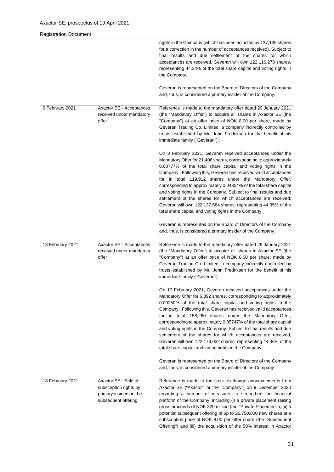| <b>Registration Document</b> |                                                                                                  |                                                                                                                                                                                                                                                                                                                                                                                                                                                                                                                                                                                                                                                                      |
|------------------------------|--------------------------------------------------------------------------------------------------|----------------------------------------------------------------------------------------------------------------------------------------------------------------------------------------------------------------------------------------------------------------------------------------------------------------------------------------------------------------------------------------------------------------------------------------------------------------------------------------------------------------------------------------------------------------------------------------------------------------------------------------------------------------------|
|                              |                                                                                                  | rights in the Company (which has been adjusted by 137,139 shares<br>for a correction in the number of acceptances received). Subject to<br>final results and due settlement of the shares for which<br>acceptances are received, Geveran will own 122,116,278 shares,<br>representing 44.34% of the total share capital and voting rights in<br>the Company.                                                                                                                                                                                                                                                                                                         |
|                              |                                                                                                  | Geveran is represented on the Board of Directors of the Company<br>and, thus, is considered a primary insider of the Company.                                                                                                                                                                                                                                                                                                                                                                                                                                                                                                                                        |
| 9 February.2021              | Axactor SE - Acceptances<br>received under mandatory<br>offer                                    | Reference is made to the mandatory offer dated 29 January 2021<br>(the "Mandatory Offer") to acquire all shares in Axactor SE (the<br>"Company") at an offer price of NOK 8.00 per share, made by<br>Geveran Trading Co. Limited, a company indirectly controlled by<br>trusts established by Mr. John Fredriksen for the benefit of his<br>immediate family ("Geveran").                                                                                                                                                                                                                                                                                            |
|                              |                                                                                                  | On 8 February 2021, Geveran received acceptances under the<br>Mandatory Offer for 21,406 shares, corresponding to approximately<br>0.00777% of the total share capital and voting rights in the<br>Company. Following this, Geveran has received valid acceptances<br>for in total 119,912 shares under the Mandatory Offer,<br>corresponding to approximately 0.04354% of the total share capital<br>and voting rights in the Company. Subject to final results and due<br>settlement of the shares for which acceptances are received,<br>Geveran will own 122,137,684 shares, representing 44.35% of the<br>total share capital and voting rights in the Company. |
|                              |                                                                                                  | Geveran is represented on the Board of Directors of the Company<br>and, thus, is considered a primary insider of the Company.                                                                                                                                                                                                                                                                                                                                                                                                                                                                                                                                        |
| 18 February 2021             | Axactor SE - Acceptances<br>received under mandatory<br>offer                                    | Reference is made to the mandatory offer dated 29 January 2021<br>(the "Mandatory Offer") to acquire all shares in Axactor SE (the<br>"Company") at an offer price of NOK 8.00 per share, made by<br>Geveran Trading Co. Limited, a company indirectly controlled by<br>trusts established by Mr. John Fredriksen for the benefit of his<br>immediate family ("Geveran").                                                                                                                                                                                                                                                                                            |
|                              |                                                                                                  | On 17 February 2021, Geveran received acceptances under the<br>Mandatory Offer for 6,892 shares, corresponding to approximately<br>0.00250% of the total share capital and voting rights in the<br>Company. Following this, Geveran has received valid acceptances<br>for in total 158,260 shares under the Mandatory Offer,<br>corresponding to approximately 0.05747% of the total share capital<br>and voting rights in the Company. Subject to final results and due<br>settlement of the shares for which acceptances are received,<br>Geveran will own 122,176,032 shares, representing 44.36% of the<br>total share capital and voting rights in the Company. |
|                              |                                                                                                  | Geveran is represented on the Board of Directors of the Company<br>and, thus, is considered a primary insider of the Company.                                                                                                                                                                                                                                                                                                                                                                                                                                                                                                                                        |
| 18 February 2021             | Axactor SE - Sale of<br>subscription rights by<br>primary insiders in the<br>subsequent offering | Reference is made to the stock exchange announcements from<br>Axactor SE ("Axactor" or the "Company") on 9 December 2020<br>regarding a number of measures to strengthen the financial<br>platform of the Company, including (i) a private placement raising<br>gross proceeds of NOK 320 million (the "Private Placement"), (ii) a<br>potential subsequent offering of up to 26,750,000 new shares at a<br>subscription price of NOK 8.00 per offer share (the "Subsequent"<br>Offering") and (iii) the acquisition of the 50% interest in Axactor                                                                                                                  |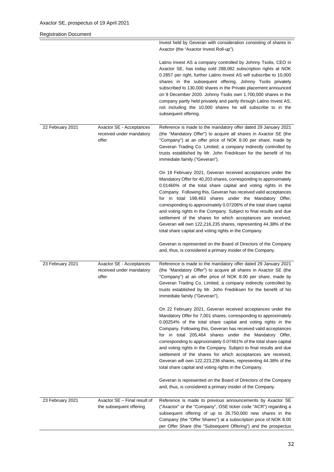| <b>Registration Document</b> |                                                               |                                                                                                                                                                                                                                                                                                                                                                                                                                                                                                                                                                                                                                                                       |
|------------------------------|---------------------------------------------------------------|-----------------------------------------------------------------------------------------------------------------------------------------------------------------------------------------------------------------------------------------------------------------------------------------------------------------------------------------------------------------------------------------------------------------------------------------------------------------------------------------------------------------------------------------------------------------------------------------------------------------------------------------------------------------------|
|                              |                                                               | Invest held by Geveran with consideration consisting of shares in<br>Axactor (the "Axactor Invest Roll-up").                                                                                                                                                                                                                                                                                                                                                                                                                                                                                                                                                          |
|                              |                                                               | Latino Invest AS a company controlled by Johnny Tsolis, CEO in<br>Axactor SE, has today sold 288,082 subscription rights at NOK<br>0.2857 per right, further Latino Invest AS will subscribe to 10,000<br>shares in the subsequent offering. Johnny Tsolis privately<br>subscribed to 130,000 shares in the Private placement announced<br>on 9 December 2020. Johnny Tsolis own 1,700,000 shares in the<br>company partly held privately and partly through Latino Invest AS,<br>not including the 10,000 shares he will subscribe to in the<br>subsequent offering.                                                                                                 |
| 22 February 2021             | Axactor SE - Acceptances<br>received under mandatory<br>offer | Reference is made to the mandatory offer dated 29 January 2021<br>(the "Mandatory Offer") to acquire all shares in Axactor SE (the<br>"Company") at an offer price of NOK 8.00 per share, made by<br>Geveran Trading Co. Limited, a company indirectly controlled by<br>trusts established by Mr. John Fredriksen for the benefit of his<br>immediate family ("Geveran").                                                                                                                                                                                                                                                                                             |
|                              |                                                               | On 19 February 2021, Geveran received acceptances under the<br>Mandatory Offer for 40,203 shares, corresponding to approximately<br>0.01460% of the total share capital and voting rights in the<br>Company. Following this, Geveran has received valid acceptances<br>for in total 198,463 shares under the Mandatory Offer,<br>corresponding to approximately 0.07206% of the total share capital<br>and voting rights in the Company. Subject to final results and due<br>settlement of the shares for which acceptances are received,<br>Geveran will own 122,216,235 shares, representing 44.38% of the<br>total share capital and voting rights in the Company. |
|                              |                                                               | Geveran is represented on the Board of Directors of the Company<br>and, thus, is considered a primary insider of the Company.                                                                                                                                                                                                                                                                                                                                                                                                                                                                                                                                         |
| 23 February 2021             | Axactor SE - Acceptances<br>received under mandatory<br>offer | Reference is made to the mandatory offer dated 29 January 2021<br>(the "Mandatory Offer") to acquire all shares in Axactor SE (the<br>"Company") at an offer price of NOK 8.00 per share, made by<br>Geveran Trading Co. Limited, a company indirectly controlled by<br>trusts established by Mr. John Fredriksen for the benefit of his<br>immediate family ("Geveran").                                                                                                                                                                                                                                                                                             |
|                              |                                                               | On 22 February 2021, Geveran received acceptances under the<br>Mandatory Offer for 7,001 shares, corresponding to approximately<br>0.00254% of the total share capital and voting rights in the<br>Company. Following this, Geveran has received valid acceptances<br>for in total 205,464 shares under the Mandatory Offer,<br>corresponding to approximately 0.07461% of the total share capital<br>and voting rights in the Company. Subject to final results and due<br>settlement of the shares for which acceptances are received,<br>Geveran will own 122,223,236 shares, representing 44.38% of the<br>total share capital and voting rights in the Company.  |
|                              |                                                               | Geveran is represented on the Board of Directors of the Company<br>and, thus, is considered a primary insider of the Company.                                                                                                                                                                                                                                                                                                                                                                                                                                                                                                                                         |
| 23 February 2021             | Axactor SE - Final result of<br>the subsequent offering       | Reference is made to previous announcements by Axactor SE<br>("Axactor" or the "Company", OSE ticker code "ACR") regarding a<br>subsequent offering of up to 26,750,000 new shares in the<br>Company (the "Offer Shares") at a subscription price of NOK 8.00<br>per Offer Share (the "Subsequent Offering") and the prospectus                                                                                                                                                                                                                                                                                                                                       |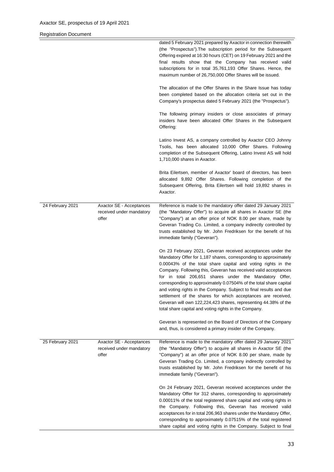|                  |                                                               | dated 5 February 2021 prepared by Axactor in connection therewith<br>(the "Prospectus"). The subscription period for the Subsequent<br>Offering expired at 16:30 hours (CET) on 19 February 2021 and the<br>final results show that the Company has received valid<br>subscriptions for in total 35,761,193 Offer Shares. Hence, the<br>maximum number of 26,750,000 Offer Shares will be issued.<br>The allocation of the Offer Shares in the Share Issue has today                                                                                                                                                                                                 |
|------------------|---------------------------------------------------------------|----------------------------------------------------------------------------------------------------------------------------------------------------------------------------------------------------------------------------------------------------------------------------------------------------------------------------------------------------------------------------------------------------------------------------------------------------------------------------------------------------------------------------------------------------------------------------------------------------------------------------------------------------------------------|
|                  |                                                               | been completed based on the allocation criteria set out in the<br>Company's prospectus dated 5 February 2021 (the "Prospectus").                                                                                                                                                                                                                                                                                                                                                                                                                                                                                                                                     |
|                  |                                                               | The following primary insiders or close associates of primary<br>insiders have been allocated Offer Shares in the Subsequent<br>Offering:                                                                                                                                                                                                                                                                                                                                                                                                                                                                                                                            |
|                  |                                                               | Latino Invest AS, a company controlled by Axactor CEO Johnny<br>Tsolis, has been allocated 10,000 Offer Shares. Following<br>completion of the Subsequent Offering, Latino Invest AS will hold<br>1,710,000 shares in Axactor.                                                                                                                                                                                                                                                                                                                                                                                                                                       |
|                  |                                                               | Brita Eilertsen, member of Axactor' board of directors, has been<br>allocated 9,892 Offer Shares. Following completion of the<br>Subsequent Offering, Brita Eilertsen will hold 19,892 shares in<br>Axactor.                                                                                                                                                                                                                                                                                                                                                                                                                                                         |
| 24 February 2021 | Axactor SE - Acceptances<br>received under mandatory<br>offer | Reference is made to the mandatory offer dated 29 January 2021<br>(the "Mandatory Offer") to acquire all shares in Axactor SE (the<br>"Company") at an offer price of NOK 8.00 per share, made by<br>Geveran Trading Co. Limited, a company indirectly controlled by<br>trusts established by Mr. John Fredriksen for the benefit of his<br>immediate family ("Geveran").                                                                                                                                                                                                                                                                                            |
|                  |                                                               | On 23 February 2021, Geveran received acceptances under the<br>Mandatory Offer for 1,187 shares, corresponding to approximately<br>0.00043% of the total share capital and voting rights in the<br>Company. Following this, Geveran has received valid acceptances<br>for in total 206,651 shares under the Mandatory Offer,<br>corresponding to approximately 0.07504% of the total share capital<br>and voting rights in the Company. Subject to final results and due<br>settlement of the shares for which acceptances are received,<br>Geveran will own 122,224,423 shares, representing 44.38% of the<br>total share capital and voting rights in the Company. |
|                  |                                                               | Geveran is represented on the Board of Directors of the Company<br>and, thus, is considered a primary insider of the Company.                                                                                                                                                                                                                                                                                                                                                                                                                                                                                                                                        |
| 25 February 2021 | Axactor SE - Acceptances<br>received under mandatory<br>offer | Reference is made to the mandatory offer dated 29 January 2021<br>(the "Mandatory Offer") to acquire all shares in Axactor SE (the<br>"Company") at an offer price of NOK 8.00 per share, made by<br>Geveran Trading Co. Limited, a company indirectly controlled by<br>trusts established by Mr. John Fredriksen for the benefit of his<br>immediate family ("Geveran").                                                                                                                                                                                                                                                                                            |
|                  |                                                               | On 24 February 2021, Geveran received acceptances under the<br>Mandatory Offer for 312 shares, corresponding to approximately<br>0.00011% of the total registered share capital and voting rights in<br>the Company. Following this, Geveran has received valid<br>acceptances for in total 206,963 shares under the Mandatory Offer,<br>corresponding to approximately 0.07515% of the total registered<br>share capital and voting rights in the Company. Subject to final                                                                                                                                                                                         |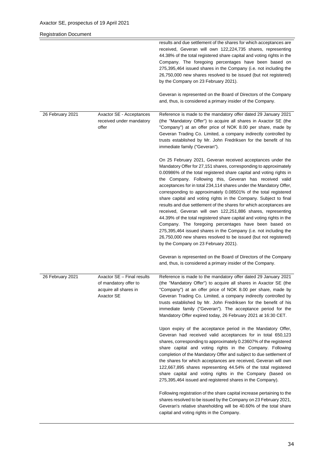| <b>Registration Document</b> |  |
|------------------------------|--|
|------------------------------|--|

|                  |                                                                                            | results and due settlement of the shares for which acceptances are<br>received, Geveran will own 122,224,735 shares, representing<br>44.38% of the total registered share capital and voting rights in the<br>Company. The foregoing percentages have been based on<br>275,395,464 issued shares in the Company (i.e. not including the<br>26,750,000 new shares resolved to be issued (but not registered)<br>by the Company on 23 February 2021).<br>Geveran is represented on the Board of Directors of the Company                                                                                                                                                                                                                                                                                                                                                                                                                 |
|------------------|--------------------------------------------------------------------------------------------|----------------------------------------------------------------------------------------------------------------------------------------------------------------------------------------------------------------------------------------------------------------------------------------------------------------------------------------------------------------------------------------------------------------------------------------------------------------------------------------------------------------------------------------------------------------------------------------------------------------------------------------------------------------------------------------------------------------------------------------------------------------------------------------------------------------------------------------------------------------------------------------------------------------------------------------|
|                  |                                                                                            | and, thus, is considered a primary insider of the Company.                                                                                                                                                                                                                                                                                                                                                                                                                                                                                                                                                                                                                                                                                                                                                                                                                                                                             |
| 26 February 2021 | Axactor SE - Acceptances<br>received under mandatory<br>offer                              | Reference is made to the mandatory offer dated 29 January 2021<br>(the "Mandatory Offer") to acquire all shares in Axactor SE (the<br>"Company") at an offer price of NOK 8.00 per share, made by<br>Geveran Trading Co. Limited, a company indirectly controlled by<br>trusts established by Mr. John Fredriksen for the benefit of his<br>immediate family ("Geveran").                                                                                                                                                                                                                                                                                                                                                                                                                                                                                                                                                              |
|                  |                                                                                            | On 25 February 2021, Geveran received acceptances under the<br>Mandatory Offer for 27,151 shares, corresponding to approximately<br>0.00986% of the total registered share capital and voting rights in<br>the Company. Following this, Geveran has received valid<br>acceptances for in total 234,114 shares under the Mandatory Offer,<br>corresponding to approximately 0.08501% of the total registered<br>share capital and voting rights in the Company. Subject to final<br>results and due settlement of the shares for which acceptances are<br>received, Geveran will own 122,251,886 shares, representing<br>44.39% of the total registered share capital and voting rights in the<br>Company. The foregoing percentages have been based on<br>275,395,464 issued shares in the Company (i.e. not including the<br>26,750,000 new shares resolved to be issued (but not registered)<br>by the Company on 23 February 2021). |
|                  |                                                                                            | Geveran is represented on the Board of Directors of the Company<br>and, thus, is considered a primary insider of the Company.                                                                                                                                                                                                                                                                                                                                                                                                                                                                                                                                                                                                                                                                                                                                                                                                          |
| 26 February 2021 | Axactor SE - Final results<br>of mandatory offer to<br>acquire all shares in<br>Axactor SE | Reference is made to the mandatory offer dated 29 January 2021<br>(the "Mandatory Offer") to acquire all shares in Axactor SE (the<br>"Company") at an offer price of NOK 8.00 per share, made by<br>Geveran Trading Co. Limited, a company indirectly controlled by<br>trusts established by Mr. John Fredriksen for the benefit of his<br>immediate family ("Geveran"). The acceptance period for the<br>Mandatory Offer expired today, 26 February 2021 at 16:30 CET.                                                                                                                                                                                                                                                                                                                                                                                                                                                               |
|                  |                                                                                            | Upon expiry of the acceptance period in the Mandatory Offer,<br>Geveran had received valid acceptances for in total 650,123<br>shares, corresponding to approximately 0.23607% of the registered<br>share capital and voting rights in the Company. Following<br>completion of the Mandatory Offer and subject to due settlement of<br>the shares for which acceptances are received, Geveran will own<br>122,667,895 shares representing 44.54% of the total registered<br>share capital and voting rights in the Company (based on<br>275,395,464 issued and registered shares in the Company).                                                                                                                                                                                                                                                                                                                                      |
|                  |                                                                                            | Following registration of the share capital increase pertaining to the<br>shares resolved to be issued by the Company on 23 February 2021,<br>Geveran's relative shareholding will be 40.60% of the total share<br>capital and voting rights in the Company.                                                                                                                                                                                                                                                                                                                                                                                                                                                                                                                                                                                                                                                                           |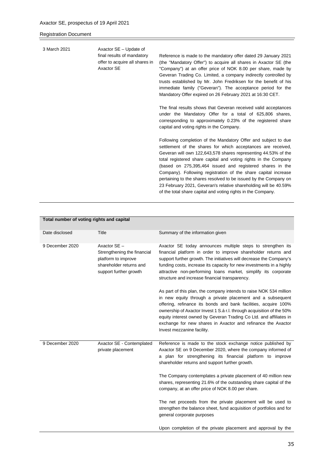| 3 March 2021 | Axactor SE - Update of<br>final results of mandatory<br>offer to acquire all shares in<br>Axactor SE | Reference is made to the mandatory offer dated 29 January 2021<br>(the "Mandatory Offer") to acquire all shares in Axactor SE (the<br>"Company") at an offer price of NOK 8.00 per share, made by<br>Geveran Trading Co. Limited, a company indirectly controlled by<br>trusts established by Mr. John Fredriksen for the benefit of his<br>immediate family ("Geveran"). The acceptance period for the<br>Mandatory Offer expired on 26 February 2021 at 16:30 CET.                                                                                                                                       |
|--------------|------------------------------------------------------------------------------------------------------|------------------------------------------------------------------------------------------------------------------------------------------------------------------------------------------------------------------------------------------------------------------------------------------------------------------------------------------------------------------------------------------------------------------------------------------------------------------------------------------------------------------------------------------------------------------------------------------------------------|
|              |                                                                                                      | The final results shows that Geveran received valid acceptances<br>under the Mandatory Offer for a total of 625,806 shares,<br>corresponding to approximately 0.23% of the registered share<br>capital and voting rights in the Company.                                                                                                                                                                                                                                                                                                                                                                   |
|              |                                                                                                      | Following completion of the Mandatory Offer and subject to due<br>settlement of the shares for which acceptances are received,<br>Geveran will own 122,643,578 shares representing 44.53% of the<br>total registered share capital and voting rights in the Company<br>(based on 275,395,464 issued and registered shares in the<br>Company). Following registration of the share capital increase<br>pertaining to the shares resolved to be issued by the Company on<br>23 February 2021, Geveran's relative shareholding will be 40.59%<br>of the total share capital and voting rights in the Company. |

| Total number of voting rights and capital |                                                                                                                         |                                                                                                                                                                                                                                                                                                                                                                                                                                                  |
|-------------------------------------------|-------------------------------------------------------------------------------------------------------------------------|--------------------------------------------------------------------------------------------------------------------------------------------------------------------------------------------------------------------------------------------------------------------------------------------------------------------------------------------------------------------------------------------------------------------------------------------------|
| Date disclosed                            | <b>Title</b>                                                                                                            | Summary of the information given                                                                                                                                                                                                                                                                                                                                                                                                                 |
| 9 December 2020                           | Axactor SE -<br>Strengthening the financial<br>platform to improve<br>shareholder returns and<br>support further growth | Axactor SE today announces multiple steps to strengthen its<br>financial platform in order to improve shareholder returns and<br>support further growth. The initiatives will decrease the Company's<br>funding costs, increase its capacity for new investments in a highly<br>attractive non-performing loans market, simplify its corporate<br>structure and increase financial transparency.                                                 |
|                                           |                                                                                                                         | As part of this plan, the company intends to raise NOK 534 million<br>in new equity through a private placement and a subsequent<br>offering, refinance its bonds and bank facilities, acquire 100%<br>ownership of Axactor Invest 1 S.á r.l. through acquisition of the 50%<br>equity interest owned by Geveran Trading Co Ltd. and affiliates in<br>exchange for new shares in Axactor and refinance the Axactor<br>Invest mezzanine facility. |
| 9 December 2020                           | Axactor SE - Contemplated<br>private placement                                                                          | Reference is made to the stock exchange notice published by<br>Axactor SE on 9 December 2020, where the company informed of<br>a plan for strengthening its financial platform to improve<br>shareholder returns and support further growth.                                                                                                                                                                                                     |
|                                           |                                                                                                                         | The Company contemplates a private placement of 40 million new<br>shares, representing 21.6% of the outstanding share capital of the<br>company, at an offer price of NOK 8.00 per share.                                                                                                                                                                                                                                                        |
|                                           |                                                                                                                         | The net proceeds from the private placement will be used to<br>strengthen the balance sheet, fund acquisition of portfolios and for<br>general corporate purposes                                                                                                                                                                                                                                                                                |
|                                           |                                                                                                                         | Upon completion of the private placement and approval by the                                                                                                                                                                                                                                                                                                                                                                                     |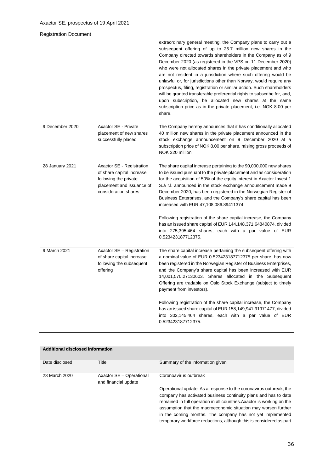|                 |                                                                                                                                      | extraordinary general meeting, the Company plans to carry out a<br>subsequent offering of up to 26.7 million new shares in the<br>Company directed towards shareholders in the Company as of 9<br>December 2020 (as registered in the VPS on 11 December 2020)<br>who were not allocated shares in the private placement and who<br>are not resident in a jurisdiction where such offering would be<br>unlawful or, for jurisdictions other than Norway, would require any<br>prospectus, filing, registration or similar action. Such shareholders<br>will be granted transferable preferential rights to subscribe for, and,<br>upon subscription, be allocated new shares at the same<br>subscription price as in the private placement, i.e. NOK 8.00 per<br>share. |
|-----------------|--------------------------------------------------------------------------------------------------------------------------------------|-------------------------------------------------------------------------------------------------------------------------------------------------------------------------------------------------------------------------------------------------------------------------------------------------------------------------------------------------------------------------------------------------------------------------------------------------------------------------------------------------------------------------------------------------------------------------------------------------------------------------------------------------------------------------------------------------------------------------------------------------------------------------|
| 9 December 2020 | Axactor SE - Private<br>placement of new shares<br>successfully placed                                                               | The Company hereby announces that it has conditionally allocated<br>40 million new shares in the private placement announced in the<br>stock exchange announcement on 9 December 2020 at a<br>subscription price of NOK 8.00 per share, raising gross proceeds of<br>NOK 320 million.                                                                                                                                                                                                                                                                                                                                                                                                                                                                                   |
| 28 January 2021 | Axactor SE - Registration<br>of share capital increase<br>following the private<br>placement and issuance of<br>consideration shares | The share capital increase pertaining to the 90,000,000 new shares<br>to be issued pursuant to the private placement and as consideration<br>for the acquisition of 50% of the equity interest in Axactor Invest 1<br>S.a r.l. announced in the stock exchange announcement made 9<br>December 2020, has been registered in the Norwegian Register of<br>Business Enterprises, and the Company's share capital has been<br>increased with EUR 47,108,086.89411374.<br>Following registration of the share capital increase, the Company<br>has an issued share capital of EUR 144,148,371.64840874, divided<br>into 275,395,464 shares, each with a par value of EUR<br>0.523423187712375.                                                                              |
| 9 March 2021    | Axactor SE - Registration<br>of share capital increase<br>following the subsequent<br>offering                                       | The share capital increase pertaining the subsequent offering with<br>a nominal value of EUR 0.523423187712375 per share, has now<br>been registered in the Norwegian Register of Business Enterprises,<br>and the Company's share capital has been increased with EUR<br>14,001,570.27130603. Shares allocated in the Subsequent<br>Offering are tradable on Oslo Stock Exchange (subject to timely<br>payment from investors).<br>Following registration of the share capital increase, the Company<br>has an issued share capital of EUR 158,149,941.91971477, divided<br>into 302,145,464 shares, each with a par value of EUR<br>0.523423187712375.                                                                                                                |

| Additional disclosed information |                                                  |                                                                                                                                          |
|----------------------------------|--------------------------------------------------|------------------------------------------------------------------------------------------------------------------------------------------|
| Date disclosed                   | Title                                            | Summary of the information given                                                                                                         |
| 23 March 2020                    | Axactor SE - Operational<br>and financial update | Coronoavirus outbreak                                                                                                                    |
|                                  |                                                  | Operational update: As a response to the coronavirus outbreak, the<br>company has activated business continuity plans and has to date    |
|                                  |                                                  | remained in full operation in all countries. Axactor is working on the<br>assumption that the macroeconomic situation may worsen further |
|                                  |                                                  | in the coming months. The company has not yet implemented                                                                                |
|                                  |                                                  | temporary workforce reductions, although this is considered as part                                                                      |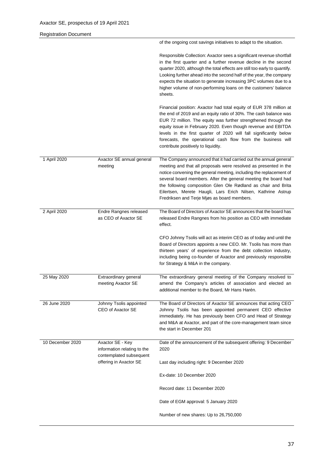| <b>Registration Document</b> |                                                                            |                                                                                                                                                                                                                                                                                                                                                                                                                                                              |
|------------------------------|----------------------------------------------------------------------------|--------------------------------------------------------------------------------------------------------------------------------------------------------------------------------------------------------------------------------------------------------------------------------------------------------------------------------------------------------------------------------------------------------------------------------------------------------------|
|                              |                                                                            | of the ongoing cost savings initiatives to adapt to the situation.                                                                                                                                                                                                                                                                                                                                                                                           |
|                              |                                                                            | Responsible Collection: Axactor sees a significant revenue shortfall<br>in the first quarter and a further revenue decline in the second<br>quarter 2020, although the total effects are still too early to quantify.<br>Looking further ahead into the second half of the year, the company<br>expects the situation to generate increasing 3PC volumes due to a<br>higher volume of non-performing loans on the customers' balance<br>sheets.              |
|                              |                                                                            | Financial position: Axactor had total equity of EUR 378 million at<br>the end of 2019 and an equity ratio of 30%. The cash balance was<br>EUR 72 million. The equity was further strengthened through the<br>equity issue in February 2020. Even though revenue and EBITDA<br>levels in the first quarter of 2020 will fall significantly below<br>forecasts, the operational cash flow from the business will<br>contribute positively to liquidity.        |
| 1 April 2020                 | Axactor SE annual general<br>meeting                                       | The Company announced that it had carried out the annual general<br>meeting and that all proposals were resolved as presented in the<br>notice convening the general meeting, including the replacement of<br>several board members. After the general meeting the board had<br>the following composition Glen Ole Rødland as chair and Brita<br>Eilertsen, Merete Haugli, Lars Erich Nilsen, Kathrine Astrup<br>Fredriksen and Terje Mjøs as board members. |
| 2 April 2020                 | Endre Rangnes released<br>as CEO of Axactor SE                             | The Board of Directors of Axactor SE announces that the board has<br>released Endre Rangnes from his position as CEO with immediate<br>effect.                                                                                                                                                                                                                                                                                                               |
|                              |                                                                            | CFO Johnny Tsolis will act as interim CEO as of today and until the<br>Board of Directors appoints a new CEO. Mr. Tsolis has more than<br>thirteen years' of experience from the debt collection industry,<br>including being co-founder of Axactor and previously responsible<br>for Strategy & M&A in the company.                                                                                                                                         |
| 25 May 2020                  | Extraordinary general<br>meeting Axactor SE                                | The extraordinary general meeting of the Company resolved to<br>amend the Company's articles of association and elected an<br>additional member to the Board, Mr Hans Harén.                                                                                                                                                                                                                                                                                 |
| 26 June 2020                 | Johnny Tsolis appointed<br>CEO of Axactor SE                               | The Board of Directors of Axactor SE announces that acting CEO<br>Johnny Tsolis has been appointed permanent CEO effective<br>immediately. He has previously been CFO and Head of Strategy<br>and M&A at Axactor, and part of the core-management team since<br>the start in December 201                                                                                                                                                                    |
| 10 December 2020             | Axactor SE - Key<br>information relating to the<br>contemplated subsequent | Date of the announcement of the subsequent offering: 9 December<br>2020                                                                                                                                                                                                                                                                                                                                                                                      |
|                              | offering in Axactor SE                                                     | Last day including right: 9 December 2020                                                                                                                                                                                                                                                                                                                                                                                                                    |
|                              |                                                                            | Ex-date: 10 December 2020                                                                                                                                                                                                                                                                                                                                                                                                                                    |
|                              |                                                                            | Record date: 11 December 2020                                                                                                                                                                                                                                                                                                                                                                                                                                |
|                              |                                                                            | Date of EGM approval: 5 January 2020                                                                                                                                                                                                                                                                                                                                                                                                                         |
|                              |                                                                            | Number of new shares: Up to 26,750,000                                                                                                                                                                                                                                                                                                                                                                                                                       |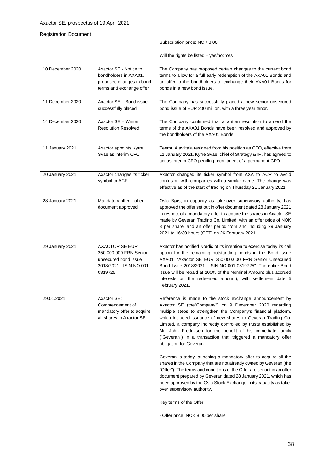|                  |                                                                                                               | Subscription price: NOK 8.00                                                                                                                                                                                                                                                                                                                                                                                                                                                        |
|------------------|---------------------------------------------------------------------------------------------------------------|-------------------------------------------------------------------------------------------------------------------------------------------------------------------------------------------------------------------------------------------------------------------------------------------------------------------------------------------------------------------------------------------------------------------------------------------------------------------------------------|
|                  |                                                                                                               | Will the rights be listed - yes/no: Yes                                                                                                                                                                                                                                                                                                                                                                                                                                             |
| 10 December 2020 | Axactor SE - Notice to<br>bondholders in AXA01,<br>proposed changes to bond<br>terms and exchange offer       | The Company has proposed certain changes to the current bond<br>terms to allow for a full early redemption of the AXA01 Bonds and<br>an offer to the bondholders to exchange their AXA01 Bonds for<br>bonds in a new bond issue.                                                                                                                                                                                                                                                    |
| 11 December 2020 | Axactor SE - Bond issue<br>successfully placed                                                                | The Company has successfully placed a new senior unsecured<br>bond issue of EUR 200 million, with a three year tenor.                                                                                                                                                                                                                                                                                                                                                               |
| 14 December 2020 | Axactor SE - Written<br><b>Resolution Resolved</b>                                                            | The Company confirmed that a written resolution to amend the<br>terms of the AXA01 Bonds have been resolved and approved by<br>the bondholders of the AXA01 Bonds.                                                                                                                                                                                                                                                                                                                  |
| 11 January 2021  | Axactor appoints Kyrre<br>Svae as interim CFO                                                                 | Teemu Alaviitala resigned from his position as CFO, effective from<br>11 January 2021. Kyrre Svae, chief of Strategy & IR, has agreed to<br>act as interim CFO pending recruitment of a permanent CFO.                                                                                                                                                                                                                                                                              |
| 20 January 2021  | Axactor changes its ticker<br>symbol to ACR                                                                   | Axactor changed its ticker symbol from AXA to ACR to avoid<br>confusion with companies with a similar name. The change was<br>effective as of the start of trading on Thursday 21 January 2021.                                                                                                                                                                                                                                                                                     |
| 28 January 2021  | Mandatory offer - offer<br>document approved                                                                  | Oslo Børs, in capacity as take-over supervisory authority, has<br>approved the offer set out in offer document dated 28 January 2021<br>in respect of a mandatory offer to acquire the shares in Axactor SE<br>made by Geveran Trading Co. Limited, with an offer price of NOK<br>8 per share, and an offer period from and including 29 January<br>2021 to 16:30 hours (CET) on 26 February 2021.                                                                                  |
| 29 January 2021  | <b>AXACTOR SE EUR</b><br>250,000,000 FRN Senior<br>unsecured bond issue<br>2018/2021 - ISIN NO 001<br>0819725 | Axactor has notified Nordic of its intention to exercise today its call<br>option for the remaining outstanding bonds in the Bond issue<br>AXA01, "Axactor SE EUR 250,000,000 FRN Senior Unsecured<br>Bond Issue 2018/2021 - ISIN NO 001 0819725". The entire Bond<br>issue will be repaid at 100% of the Nominal Amount plus accrued<br>interests on the redeemed amount), with settlement date 5<br>February 2021.                                                                |
| 29.01.2021       | Axactor SE:<br>Commencement of<br>mandatory offer to acquire<br>all shares in Axactor SE                      | Reference is made to the stock exchange announcement by<br>Axactor SE (the"Company") on 9 December 2020 regarding<br>multiple steps to strengthen the Company's financial platform,<br>which included issuance of new shares to Geveran Trading Co.<br>Limited, a company indirectly controlled by trusts established by<br>Mr. John Fredriksen for the benefit of his immediate family<br>("Geveran") in a transaction that triggered a mandatory offer<br>obligation for Geveran. |
|                  |                                                                                                               | Geveran is today launching a mandatory offer to acquire all the<br>shares in the Company that are not already owned by Geveran (the<br>"Offer"). The terms and conditions of the Offer are set out in an offer<br>document prepared by Geveran dated 28 January 2021, which has<br>been approved by the Oslo Stock Exchange in its capacity as take-<br>over supervisory authority.                                                                                                 |
|                  |                                                                                                               | Key terms of the Offer:                                                                                                                                                                                                                                                                                                                                                                                                                                                             |
|                  |                                                                                                               | - Offer price: NOK 8.00 per share                                                                                                                                                                                                                                                                                                                                                                                                                                                   |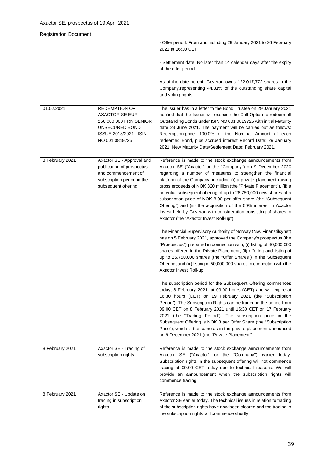| <b>Registration Document</b> |                                                                                                                                    |                                                                                                                                                                                                                                                                                                                                                                                                                                                                                                                                                                                                                                                                    |
|------------------------------|------------------------------------------------------------------------------------------------------------------------------------|--------------------------------------------------------------------------------------------------------------------------------------------------------------------------------------------------------------------------------------------------------------------------------------------------------------------------------------------------------------------------------------------------------------------------------------------------------------------------------------------------------------------------------------------------------------------------------------------------------------------------------------------------------------------|
|                              |                                                                                                                                    | - Offer period: From and including 29 January 2021 to 26 February<br>2021 at 16:30 CET                                                                                                                                                                                                                                                                                                                                                                                                                                                                                                                                                                             |
|                              |                                                                                                                                    | - Settlement date: No later than 14 calendar days after the expiry<br>of the offer period                                                                                                                                                                                                                                                                                                                                                                                                                                                                                                                                                                          |
|                              |                                                                                                                                    | As of the date hereof, Geveran owns 122,017,772 shares in the<br>Company, representing 44.31% of the outstanding share capital<br>and voting rights.                                                                                                                                                                                                                                                                                                                                                                                                                                                                                                               |
| 01.02.2021                   | <b>REDEMPTION OF</b><br>AXACTOR SE EUR<br>250,000,000 FRN SENIOR<br>UNSECURED BOND<br>ISSUE 2018/2021 - ISIN<br>NO 001 0819725     | The issuer has in a letter to the Bond Trustee on 29 January 2021<br>notified that the Issuer will exercise the Call Option to redeem all<br>Outstanding Bonds under ISIN NO 001 0819725 with initial Maturity<br>date 23 June 2021. The payment will be carried out as follows:<br>Redemption price: 100.0% of the Nominal Amount of each<br>redeemed Bond, plus accrued interest Record Date: 29 January<br>2021. New Maturity Date/Settlement Date: February 2021.                                                                                                                                                                                              |
| 8 February 2021              | Axactor SE - Approval and<br>publication of prospectus<br>and commencement of<br>subscription period in the<br>subsequent offering | Reference is made to the stock exchange announcements from<br>Axactor SE ("Axactor" or the "Company") on 9 December 2020<br>regarding a number of measures to strengthen the financial<br>platform of the Company, including (i) a private placement raising<br>gross proceeds of NOK 320 million (the "Private Placement"), (ii) a<br>potential subsequent offering of up to 26,750,000 new shares at a<br>subscription price of NOK 8.00 per offer share (the "Subsequent<br>Offering") and (iii) the acquisition of the 50% interest in Axactor<br>Invest held by Geveran with consideration consisting of shares in<br>Axactor (the "Axactor Invest Roll-up"). |
|                              |                                                                                                                                    | The Financial Supervisory Authority of Norway (Nw. Finanstilsynet)<br>has on 5 February 2021, approved the Company's prospectus (the<br>"Prospectus") prepared in connection with; (i) listing of 40,000,000<br>shares offered in the Private Placement, (ii) offering and listing of<br>up to 26,750,000 shares (the "Offer Shares") in the Subsequent<br>Offering, and (iii) listing of 50,000,000 shares in connection with the<br>Axactor Invest Roll-up.                                                                                                                                                                                                      |
|                              |                                                                                                                                    | The subscription period for the Subsequent Offering commences<br>today, 8 February 2021, at 09:00 hours (CET) and will expire at<br>16:30 hours (CET) on 19 February 2021 (the "Subscription<br>Period"). The Subscription Rights can be traded in the period from<br>09:00 CET on 8 February 2021 until 16:30 CET on 17 February<br>2021 (the "Trading Period"). The subscription price in the<br>Subsequent Offering is NOK 8 per Offer Share (the "Subscription<br>Price"), which is the same as in the private placement announced<br>on 9 December 2021 (the "Private Placement").                                                                            |
| 8 February 2021              | Axactor SE - Trading of<br>subscription rights                                                                                     | Reference is made to the stock exchange announcements from<br>Axactor SE ("Axactor" or the "Company") earlier today.<br>Subscription rights in the subsequent offering will not commence<br>trading at 09:00 CET today due to technical reasons. We will<br>provide an announcement when the subscription rights will<br>commence trading.                                                                                                                                                                                                                                                                                                                         |
| 8 February 2021              | Axactor SE - Update on<br>trading in subscription<br>rights                                                                        | Reference is made to the stock exchange announcements from<br>Axactor SE earlier today. The technical issues in relation to trading<br>of the subscription rights have now been cleared and the trading in<br>the subscription rights will commence shortly.                                                                                                                                                                                                                                                                                                                                                                                                       |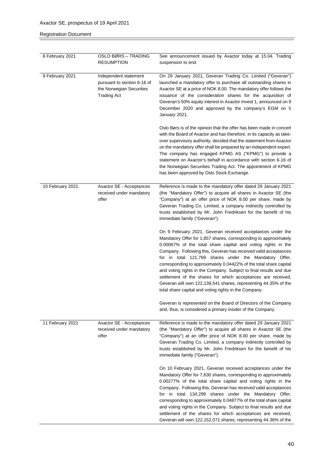#### Axactor SE, prospectus of 19 April 2021

| 8 February 2021  | OSLO BØRS – TRADING<br><b>RESUMPTION</b>                                                               | See announcement issued by Axactor today at 15.04. Trading<br>suspension to end.                                                                                                                                                                                                                                                                                                                                                                                                                                                                                                                                                                                    |
|------------------|--------------------------------------------------------------------------------------------------------|---------------------------------------------------------------------------------------------------------------------------------------------------------------------------------------------------------------------------------------------------------------------------------------------------------------------------------------------------------------------------------------------------------------------------------------------------------------------------------------------------------------------------------------------------------------------------------------------------------------------------------------------------------------------|
| 9 February 2021  | Independent statement<br>pursuant to section 6-16 of<br>the Norwegian Securities<br><b>Trading Act</b> | On 29 January 2021, Geveran Trading Co. Limited ("Geveran")<br>launched a mandatory offer to purchase all outstanding shares in<br>Axactor SE at a price of NOK 8.00. The mandatory offer follows the<br>issuance of the consideration shares for the acquisition of<br>Geveran's 50% equity interest in Axactor Invest 1, announced on 9<br>December 2020 and approved by the company's EGM on 5<br>January 2021.                                                                                                                                                                                                                                                  |
|                  |                                                                                                        | Oslo Børs is of the opinion that the offer has been made in concert<br>with the Board of Axactor and has therefore, in its capacity as take-<br>over supervisory authority, decided that the statement from Axactor<br>on the mandatory offer shall be prepared by an independent expert.<br>The company has engaged KPMG AS ("KPMG") to provide a<br>statement on Axactor's behalf in accordance with section 6-16 of<br>the Norwegian Securities Trading Act. The appointment of KPMG<br>has been approved by Oslo Stock Exchange.                                                                                                                                |
| 10 February 2021 | Axactor SE - Acceptances<br>received under mandatory<br>offer                                          | Reference is made to the mandatory offer dated 29 January 2021<br>(the "Mandatory Offer") to acquire all shares in Axactor SE (the<br>"Company") at an offer price of NOK 8.00 per share, made by<br>Geveran Trading Co. Limited, a company indirectly controlled by<br>trusts established by Mr. John Fredriksen for the benefit of his<br>immediate family ("Geveran").                                                                                                                                                                                                                                                                                           |
|                  |                                                                                                        | On 9 February 2021, Geveran received acceptances under the<br>Mandatory Offer for 1,857 shares, corresponding to approximately<br>0.00067% of the total share capital and voting rights in the<br>Company. Following this, Geveran has received valid acceptances<br>for in total 121,769 shares under the Mandatory Offer,<br>corresponding to approximately 0.04422% of the total share capital<br>and voting rights in the Company. Subject to final results and due<br>settlement of the shares for which acceptances are received,<br>Geveran will own 122,139,541 shares, representing 44.35% of the<br>total share capital and voting rights in the Company. |
|                  |                                                                                                        | Geveran is represented on the Board of Directors of the Company<br>and, thus, is considered a primary insider of the Company.                                                                                                                                                                                                                                                                                                                                                                                                                                                                                                                                       |
| 11 February 2021 | Axactor SE - Acceptances<br>received under mandatory<br>offer                                          | Reference is made to the mandatory offer dated 29 January 2021<br>(the "Mandatory Offer") to acquire all shares in Axactor SE (the<br>"Company") at an offer price of NOK 8.00 per share, made by<br>Geveran Trading Co. Limited, a company indirectly controlled by<br>trusts established by Mr. John Fredriksen for the benefit of his<br>immediate family ("Geveran").                                                                                                                                                                                                                                                                                           |
|                  |                                                                                                        | On 10 February 2021, Geveran received acceptances under the<br>Mandatory Offer for 7,630 shares, corresponding to approximately<br>0.00277% of the total share capital and voting rights in the<br>Company. Following this, Geveran has received valid acceptances<br>for in total 134,299 shares under the Mandatory Offer,<br>corresponding to approximately 0.04877% of the total share capital<br>and voting rights in the Company. Subject to final results and due<br>settlement of the shares for which acceptances are received,<br>Geveran will own 122,152,071 shares, representing 44.36% of the                                                         |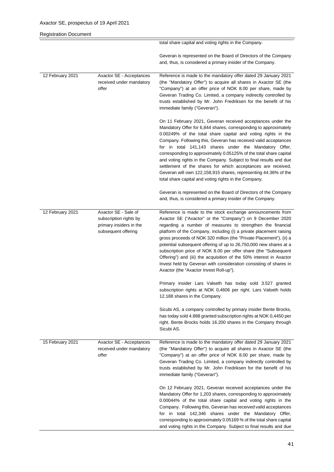| <b>Registration Document</b> |                                                                                                  |                                                                                                                                                                                                                                                                                                                                                                                                                                                                                                                                                                                                                                                                      |
|------------------------------|--------------------------------------------------------------------------------------------------|----------------------------------------------------------------------------------------------------------------------------------------------------------------------------------------------------------------------------------------------------------------------------------------------------------------------------------------------------------------------------------------------------------------------------------------------------------------------------------------------------------------------------------------------------------------------------------------------------------------------------------------------------------------------|
|                              |                                                                                                  | total share capital and voting rights in the Company.                                                                                                                                                                                                                                                                                                                                                                                                                                                                                                                                                                                                                |
|                              |                                                                                                  | Geveran is represented on the Board of Directors of the Company<br>and, thus, is considered a primary insider of the Company.                                                                                                                                                                                                                                                                                                                                                                                                                                                                                                                                        |
| 12 February 2021             | Axactor SE - Acceptances<br>received under mandatory<br>offer                                    | Reference is made to the mandatory offer dated 29 January 2021<br>(the "Mandatory Offer") to acquire all shares in Axactor SE (the<br>"Company") at an offer price of NOK 8.00 per share, made by<br>Geveran Trading Co. Limited, a company indirectly controlled by<br>trusts established by Mr. John Fredriksen for the benefit of his<br>immediate family ("Geveran").                                                                                                                                                                                                                                                                                            |
|                              |                                                                                                  | On 11 February 2021, Geveran received acceptances under the<br>Mandatory Offer for 6,844 shares, corresponding to approximately<br>0.00249% of the total share capital and voting rights in the<br>Company. Following this, Geveran has received valid acceptances<br>for in total 141,143 shares under the Mandatory Offer,<br>corresponding to approximately 0.05125% of the total share capital<br>and voting rights in the Company. Subject to final results and due<br>settlement of the shares for which acceptances are received,<br>Geveran will own 122,158,915 shares, representing 44.36% of the<br>total share capital and voting rights in the Company. |
|                              |                                                                                                  | Geveran is represented on the Board of Directors of the Company<br>and, thus, is considered a primary insider of the Company.                                                                                                                                                                                                                                                                                                                                                                                                                                                                                                                                        |
| 12 February 2021             | Axactor SE - Sale of<br>subscription rights by<br>primary insiders in the<br>subsequent offering | Reference is made to the stock exchange announcements from<br>Axactor SE ("Axactor" or the "Company") on 9 December 2020<br>regarding a number of measures to strengthen the financial<br>platform of the Company, including (i) a private placement raising<br>gross proceeds of NOK 320 million (the "Private Placement"), (ii) a<br>potential subsequent offering of up to 26,750,000 new shares at a<br>subscription price of NOK 8.00 per offer share (the "Subsequent<br>Offering") and (iii) the acquisition of the 50% interest in Axactor<br>Invest held by Geveran with consideration consisting of shares in<br>Axactor (the "Axactor Invest Roll-up").   |
|                              |                                                                                                  | Primary insider Lars Valseth has today sold 3.527 granted<br>subscription rights at NOK 0,4606 per right. Lars Valseth holds<br>12.188 shares in the Company.                                                                                                                                                                                                                                                                                                                                                                                                                                                                                                        |
|                              |                                                                                                  | Sicubi AS, a company controlled by primary insider Bente Brocks,<br>has today sold 4.888 granted subscription rights at NOK 0,4450 per<br>right. Bente Brocks holds 16.200 shares in the Company through<br>Sicubi AS.                                                                                                                                                                                                                                                                                                                                                                                                                                               |
| 15 February 2021             | Axactor SE - Acceptances<br>received under mandatory<br>offer                                    | Reference is made to the mandatory offer dated 29 January 2021<br>(the "Mandatory Offer") to acquire all shares in Axactor SE (the<br>"Company") at an offer price of NOK 8.00 per share, made by<br>Geveran Trading Co. Limited, a company indirectly controlled by<br>trusts established by Mr. John Fredriksen for the benefit of his<br>immediate family ("Geveran").                                                                                                                                                                                                                                                                                            |
|                              |                                                                                                  | On 12 February 2021, Geveran received acceptances under the<br>Mandatory Offer for 1,203 shares, corresponding to approximately<br>0.00044% of the total share capital and voting rights in the<br>Company. Following this, Geveran has received valid acceptances<br>for in total 142,346 shares under the Mandatory Offer,<br>corresponding to approximately 0.05169 % of the total share capital<br>and voting rights in the Company. Subject to final results and due                                                                                                                                                                                            |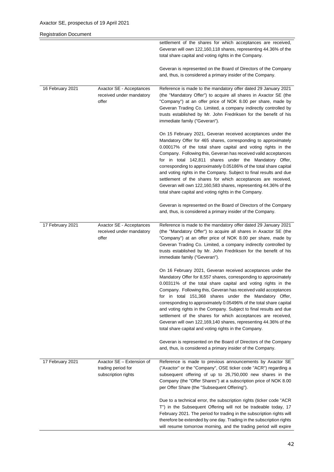|                  |                                                                        | settlement of the shares for which acceptances are received,<br>Geveran will own 122,160,118 shares, representing 44.36% of the<br>total share capital and voting rights in the Company.                                                                                                                                                                                                                                                                                                                                                                                                                                                                             |
|------------------|------------------------------------------------------------------------|----------------------------------------------------------------------------------------------------------------------------------------------------------------------------------------------------------------------------------------------------------------------------------------------------------------------------------------------------------------------------------------------------------------------------------------------------------------------------------------------------------------------------------------------------------------------------------------------------------------------------------------------------------------------|
|                  |                                                                        | Geveran is represented on the Board of Directors of the Company<br>and, thus, is considered a primary insider of the Company.                                                                                                                                                                                                                                                                                                                                                                                                                                                                                                                                        |
| 16 February 2021 | Axactor SE - Acceptances<br>received under mandatory<br>offer          | Reference is made to the mandatory offer dated 29 January 2021<br>(the "Mandatory Offer") to acquire all shares in Axactor SE (the<br>"Company") at an offer price of NOK 8.00 per share, made by<br>Geveran Trading Co. Limited, a company indirectly controlled by<br>trusts established by Mr. John Fredriksen for the benefit of his<br>immediate family ("Geveran").                                                                                                                                                                                                                                                                                            |
|                  |                                                                        | On 15 February 2021, Geveran received acceptances under the<br>Mandatory Offer for 465 shares, corresponding to approximately<br>0.00017% of the total share capital and voting rights in the<br>Company. Following this, Geveran has received valid acceptances<br>for in total 142,811 shares under the Mandatory Offer,<br>corresponding to approximately 0.05186% of the total share capital<br>and voting rights in the Company. Subject to final results and due<br>settlement of the shares for which acceptances are received,<br>Geveran will own 122,160,583 shares, representing 44.36% of the<br>total share capital and voting rights in the Company.   |
|                  |                                                                        | Geveran is represented on the Board of Directors of the Company<br>and, thus, is considered a primary insider of the Company.                                                                                                                                                                                                                                                                                                                                                                                                                                                                                                                                        |
| 17 February 2021 | Axactor SE - Acceptances<br>received under mandatory<br>offer          | Reference is made to the mandatory offer dated 29 January 2021<br>(the "Mandatory Offer") to acquire all shares in Axactor SE (the<br>"Company") at an offer price of NOK 8.00 per share, made by<br>Geveran Trading Co. Limited, a company indirectly controlled by<br>trusts established by Mr. John Fredriksen for the benefit of his<br>immediate family ("Geveran").                                                                                                                                                                                                                                                                                            |
|                  |                                                                        | On 16 February 2021, Geveran received acceptances under the<br>Mandatory Offer for 8,557 shares, corresponding to approximately<br>0.00311% of the total share capital and voting rights in the<br>Company. Following this, Geveran has received valid acceptances<br>for in total 151,368 shares under the Mandatory Offer,<br>corresponding to approximately 0.05496% of the total share capital<br>and voting rights in the Company. Subject to final results and due<br>settlement of the shares for which acceptances are received,<br>Geveran will own 122,169,140 shares, representing 44.36% of the<br>total share capital and voting rights in the Company. |
|                  |                                                                        | Geveran is represented on the Board of Directors of the Company<br>and, thus, is considered a primary insider of the Company.                                                                                                                                                                                                                                                                                                                                                                                                                                                                                                                                        |
| 17 February 2021 | Axactor SE - Extension of<br>trading period for<br>subscription rights | Reference is made to previous announcements by Axactor SE<br>("Axactor" or the "Company", OSE ticker code "ACR") regarding a<br>subsequent offering of up to 26,750,000 new shares in the<br>Company (the "Offer Shares") at a subscription price of NOK 8.00<br>per Offer Share (the "Subsequent Offering").                                                                                                                                                                                                                                                                                                                                                        |
|                  |                                                                        | Due to a technical error, the subscription rights (ticker code "ACR<br>T") in the Subsequent Offering will not be tradeable today, 17<br>February 2021. The period for trading in the subscription rights will<br>therefore be extended by one day. Trading in the subscription rights<br>will resume tomorrow morning, and the trading period will expire                                                                                                                                                                                                                                                                                                           |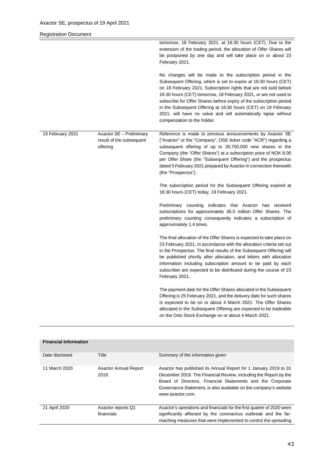| <b>Registration Document</b> |                                                                  |                                                                                                                                                                                                                                                                                                                                                                                                                                                                                                                 |
|------------------------------|------------------------------------------------------------------|-----------------------------------------------------------------------------------------------------------------------------------------------------------------------------------------------------------------------------------------------------------------------------------------------------------------------------------------------------------------------------------------------------------------------------------------------------------------------------------------------------------------|
|                              |                                                                  | tomorrow, 18 February 2021, at 16:30 hours (CET). Due to the<br>extension of the trading period, the allocation of Offer Shares will<br>be postponed by one day and will take place on or about 23<br>February 2021.                                                                                                                                                                                                                                                                                            |
|                              |                                                                  | No changes will be made to the subscription period in the<br>Subsequent Offering, which is set to expire at 16:30 hours (CET)<br>on 19 February 2021. Subscription rights that are not sold before<br>16:30 hours (CET) tomorrow, 18 February 2021, or are not used to<br>subscribe for Offer Shares before expiry of the subscription period<br>in the Subsequent Offering at 16:30 hours (CET) on 19 February<br>2021, will have no value and will automatically lapse without<br>compensation to the holder. |
| 19 February 2021             | Axactor SE - Preliminary<br>result of the subsequent<br>offering | Reference is made to previous announcements by Axactor SE<br>("Axactor" or the "Company", OSE ticker code "ACR") regarding a<br>subsequent offering of up to 26,750,000 new shares in the<br>Company (the "Offer Shares") at a subscription price of NOK 8.00<br>per Offer Share (the "Subsequent Offering") and the prospectus<br>dated 5 February 2021 prepared by Axactor in connection therewith<br>(the "Prospectus").                                                                                     |
|                              |                                                                  | The subscription period for the Subsequent Offering expired at<br>16:30 hours (CET) today, 19 February 2021.                                                                                                                                                                                                                                                                                                                                                                                                    |
|                              |                                                                  | Preliminary counting indicates that Axactor has received<br>subscriptions for approximately 36.5 million Offer Shares. The<br>preliminary counting consequently indicates a subscription of<br>approximately 1.4 times.                                                                                                                                                                                                                                                                                         |
|                              |                                                                  | The final allocation of the Offer Shares is expected to take place on<br>23 February 2021, in accordance with the allocation criteria set out<br>in the Prospectus. The final results of the Subsequent Offering will<br>be published shortly after allocation, and letters with allocation<br>information including subscription amount to be paid by each<br>subscriber are expected to be distributed during the course of 23<br>February 2021.                                                              |
|                              |                                                                  | The payment date for the Offer Shares allocated in the Subsequent<br>Offering is 25 February 2021, and the delivery date for such shares<br>is expected to be on or about 4 March 2021. The Offer Shares<br>allocated in the Subsequent Offering are expected to be tradeable<br>on the Oslo Stock Exchange on or about 4 March 2021.                                                                                                                                                                           |

| <b>Financial Information</b> |                                      |                                                                                                                                                                                                                                                                                            |
|------------------------------|--------------------------------------|--------------------------------------------------------------------------------------------------------------------------------------------------------------------------------------------------------------------------------------------------------------------------------------------|
| Date disclosed               | Title                                | Summary of the information given                                                                                                                                                                                                                                                           |
| 11 March 2020                | <b>Axactor Annual Report</b><br>2019 | Axactor has published its Annual Report for 1 January 2019 to 31<br>December 2019. The Financial Review, including the Report by the<br>Board of Directors, Financial Statements and the Corporate<br>Governance Statement, is also available on the company's website<br>www.axactor.com. |
| 21 April 2020                | Axactor reports Q1<br>financials     | Axactor's operations and financials for the first quarter of 2020 were<br>significantly affected by the coronavirus outbreak and the far-<br>reaching measures that were implemented to control the spreading                                                                              |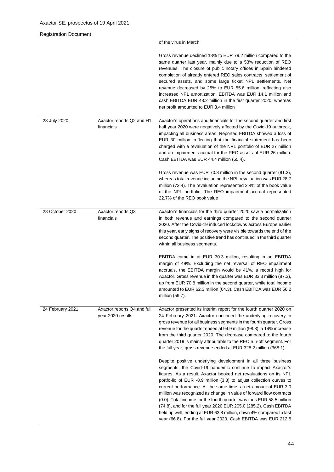|                  |                                                  | of the virus in March.                                                                                                                                                                                                                                                                                                                                                                                                                                                                                                                                                            |
|------------------|--------------------------------------------------|-----------------------------------------------------------------------------------------------------------------------------------------------------------------------------------------------------------------------------------------------------------------------------------------------------------------------------------------------------------------------------------------------------------------------------------------------------------------------------------------------------------------------------------------------------------------------------------|
|                  |                                                  | Gross revenue declined 13% to EUR 79.2 million compared to the<br>same quarter last year, mainly due to a 53% reduction of REO<br>revenues. The closure of public notary offices in Spain hindered<br>completion of already entered REO sales contracts, settlement of<br>secured assets, and some large ticket NPL settlements. Net<br>revenue decreased by 25% to EUR 55.6 million, reflecting also<br>increased NPL amortization. EBITDA was EUR 14.1 million and<br>cash EBITDA EUR 48.2 million in the first quarter 2020, whereas<br>net profit amounted to EUR 3.4 million |
| 23 July 2020     | Axactor reports Q2 and H1<br>financials          | Axactor's operations and financials for the second quarter and first<br>half year 2020 were negatively affected by the Covid-19 outbreak,<br>impacting all business areas. Reported EBITDA showed a loss of<br>EUR 30 million, reflecting that the financial statement has been<br>charged with a revaluation of the NPL portfolio of EUR 27 million<br>and an impairment accrual for the REO assets of EUR 26 million.<br>Cash EBITDA was EUR 44.4 million (65.4).<br>Gross revenue was EUR 70.8 million in the second quarter (91.3),                                           |
|                  |                                                  | whereas total revenue including the NPL revaluation was EUR 28.7<br>million (72.4). The revaluation represented 2.4% of the book value<br>of the NPL portfolio. The REO impairment accrual represented<br>22.7% of the REO book value                                                                                                                                                                                                                                                                                                                                             |
| 28 October 2020  | Axactor reports Q3<br>financials                 | Axactor's financials for the third quarter 2020 saw a normalization<br>in both revenue and earnings compared to the second quarter<br>2020. After the Covid-19 induced lockdowns across Europe earlier<br>this year, early signs of recovery were visible towards the end of the<br>second quarter. The positive trend has continued in the third quarter<br>within all business segments.                                                                                                                                                                                        |
|                  |                                                  | EBITDA came in at EUR 30.3 million, resulting in an EBITDA<br>margin of 49%. Excluding the net reversal of REO impairment<br>accruals, the EBITDA margin would be 41%, a record high for<br>Axactor. Gross revenue in the quarter was EUR 83.3 million (87.3),<br>up from EUR 70.8 million in the second quarter, while total income<br>amounted to EUR 62.3 million (64.3). Cash EBITDA was EUR 56.2<br>million (59.7).                                                                                                                                                          |
| 24 February 2021 | Axactor reports Q4 and full<br>year 2020 results | Axactor presented its interim report for the fourth quarter 2020 on<br>24 February 2021. Axactor continued the underlying recovery in<br>gross revenue for all business segments in the fourth quarter. Gross<br>revenue for the quarter ended at 94.9 million (98.8), a 14% increase<br>from the third quarter 2020. The decrease compared to the fourth<br>quarter 2019 is mainly attributable to the REO run-off segment. For<br>the full year, gross revenue ended at EUR 328.2 million (368.1).                                                                              |
|                  |                                                  | Despite positive underlying development in all three business<br>segments, the Covid-19 pandemic continue to impact Axactor's<br>figures. As a result, Axactor booked net revaluations on its NPL<br>portfo-lio of EUR -8.9 million (3.3) to adjust collection curves to<br>current performance. At the same time, a net amount of EUR 3.0<br>million was recognized as change in value of forward flow contracts<br>(0.0). Total income for the fourth quarter was thus EUR 58.5 million<br>(74.8), and for the full year 2020 EUR 205.0 (285.2). Cash EBITDA                    |

held up well, ending at EUR 63.8 million, down 4% compared to last year (66.8). For the full year 2020, Cash EBITDA was EUR 212.5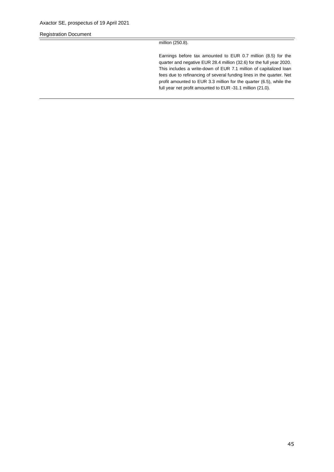#### million (250.8).

Earnings before tax amounted to EUR 0.7 million (8.5) for the quarter and negative EUR 28.4 million (32.6) for the full year 2020. This includes a write-down of EUR 7.1 million of capitalized loan fees due to refinancing of several funding lines in the quarter. Net profit amounted to EUR 3.3 million for the quarter (6.5), while the full year net profit amounted to EUR -31.1 million (21.0).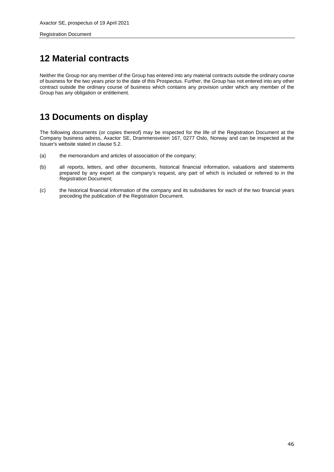### <span id="page-45-0"></span>**12 Material contracts**

Neither the Group nor any member of the Group has entered into any material contracts outside the ordinary course of business for the two years prior to the date of this Prospectus. Further, the Group has not entered into any other contract outside the ordinary course of business which contains any provision under which any member of the Group has any obligation or entitlement.

### <span id="page-45-1"></span>**13 Documents on display**

The following documents (or copies thereof) may be inspected for the life of the Registration Document at the Company business adress, Axactor SE, Drammensveien 167, 0277 Oslo, Norway and can be inspected at the Issuer's website stated in clause 5.2.

- (a) the memorandum and articles of association of the company;
- (b) all reports, letters, and other documents, historical financial information, valuations and statements prepared by any expert at the company's request, any part of which is included or referred to in the Registration Document;
- (c) the historical financial information of the company and its subsidiaries for each of the two financial years preceding the publication of the Registration Document.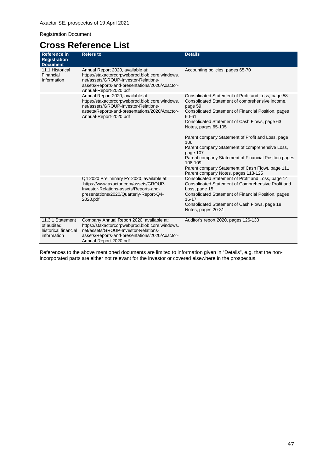# <span id="page-46-0"></span>**Cross Reference List**

| <b>Reference in</b><br>Registration<br><b>Document</b>                | <b>Refers to</b>                                                                                                                                                                                                 | <b>Details</b>                                                                                                                                                                                                                                                                        |
|-----------------------------------------------------------------------|------------------------------------------------------------------------------------------------------------------------------------------------------------------------------------------------------------------|---------------------------------------------------------------------------------------------------------------------------------------------------------------------------------------------------------------------------------------------------------------------------------------|
| 11.1 Historical<br>Financial<br>Information                           | Annual Report 2020, available at:<br>https://staxactorcorpwebprod.blob.core.windows.<br>net/assets/GROUP-Investor-Relations-<br>assets/Reports-and-presentations/2020/Axactor-<br>Annual-Report-2020.pdf         | Accounting policies, pages 65-70                                                                                                                                                                                                                                                      |
|                                                                       | Annual Report 2020, available at:<br>https://staxactorcorpwebprod.blob.core.windows.<br>net/assets/GROUP-Investor-Relations-<br>assets/Reports-and-presentations/2020/Axactor-<br>Annual-Report-2020.pdf         | Consolidated Statement of Profit and Loss, page 58<br>Consolidated Statement of comprehensive income,<br>page 59<br>Consolidated Statement of Financial Position, pages<br>60-61<br>Consolidated Statement of Cash Flows, page 63<br>Notes, pages 65-105                              |
|                                                                       |                                                                                                                                                                                                                  | Parent company Statement of Profit and Loss, page<br>106<br>Parent company Statement of comprehensive Loss,<br>page 107<br>Parent company Statement of Financial Position pages<br>108-109<br>Parent company Statement of Cash Flowt, page 111<br>Parent company Notes, pages 113-125 |
|                                                                       | Q4 2020 Preliminary FY 2020, available at:<br>https://www.axactor.com/assets/GROUP-<br>Investor-Relations-assets/Reports-and-<br>presentations/2020/Quarterly-Report-Q4-<br>2020.pdf                             | Consolidated Statement of Profit and Loss, page 14<br>Consolidated Statement of Comprehensive Profit and<br>Loss, page 15<br>Consolidated Statement of Financial Position, pages<br>$16 - 17$<br>Consolidated Statement of Cash Flows, page 18<br>Notes, pages 20-31                  |
| 11.3.1 Statement<br>of audited<br>historical financial<br>information | Company Annual Report 2020, available at:<br>https://staxactorcorpwebprod.blob.core.windows.<br>net/assets/GROUP-Investor-Relations-<br>assets/Reports-and-presentations/2020/Axactor-<br>Annual-Report-2020.pdf | Auditor's report 2020, pages 126-130                                                                                                                                                                                                                                                  |

References to the above mentioned documents are limited to information given in "Details", e.g. that the nonincorporated parts are either not relevant for the investor or covered elsewhere in the prospectus.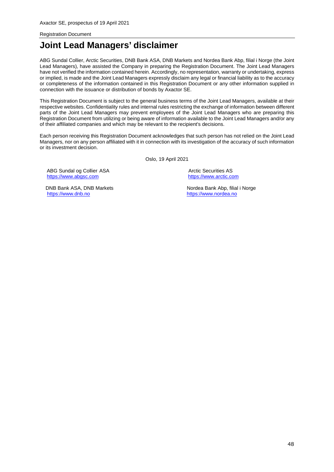### <span id="page-47-0"></span>**Joint Lead Managers' disclaimer**

ABG Sundal Collier, Arctic Securities, DNB Bank ASA, DNB Markets and Nordea Bank Abp, filial i Norge (the Joint Lead Managers), have assisted the Company in preparing the Registration Document. The Joint Lead Managers have not verified the information contained herein. Accordingly, no representation, warranty or undertaking, express or implied, is made and the Joint Lead Managers expressly disclaim any legal or financial liability as to the accuracy or completeness of the information contained in this Registration Document or any other information supplied in connection with the issuance or distribution of bonds by Axactor SE.

This Registration Document is subject to the general business terms of the Joint Lead Managers, available at their respective websites. Confidentiality rules and internal rules restricting the exchange of information between different parts of the Joint Lead Managers may prevent employees of the Joint Lead Managers who are preparing this Registration Document from utilizing or being aware of information available to the Joint Lead Managers and/or any of their affiliated companies and which may be relevant to the recipient's decisions.

Each person receiving this Registration Document acknowledges that such person has not relied on the Joint Lead Managers, nor on any person affiliated with it in connection with its investigation of the accuracy of such information or its investment decision.

Oslo, 19 April 2021

ABG Sundal og Collier ASA Arctic Securities AS [https://www.abgsc.com](https://www.abgsc.com/) [https://www.arctic.com](https://www.arctic.com/)

DNB Bank ASA, DNB Markets **Nordea Bank Abp, filial i Norge**<br>
https://www.dnb.no<br>
https://www.nordea.no [https://www.nordea.no](https://www.nordea.no/)